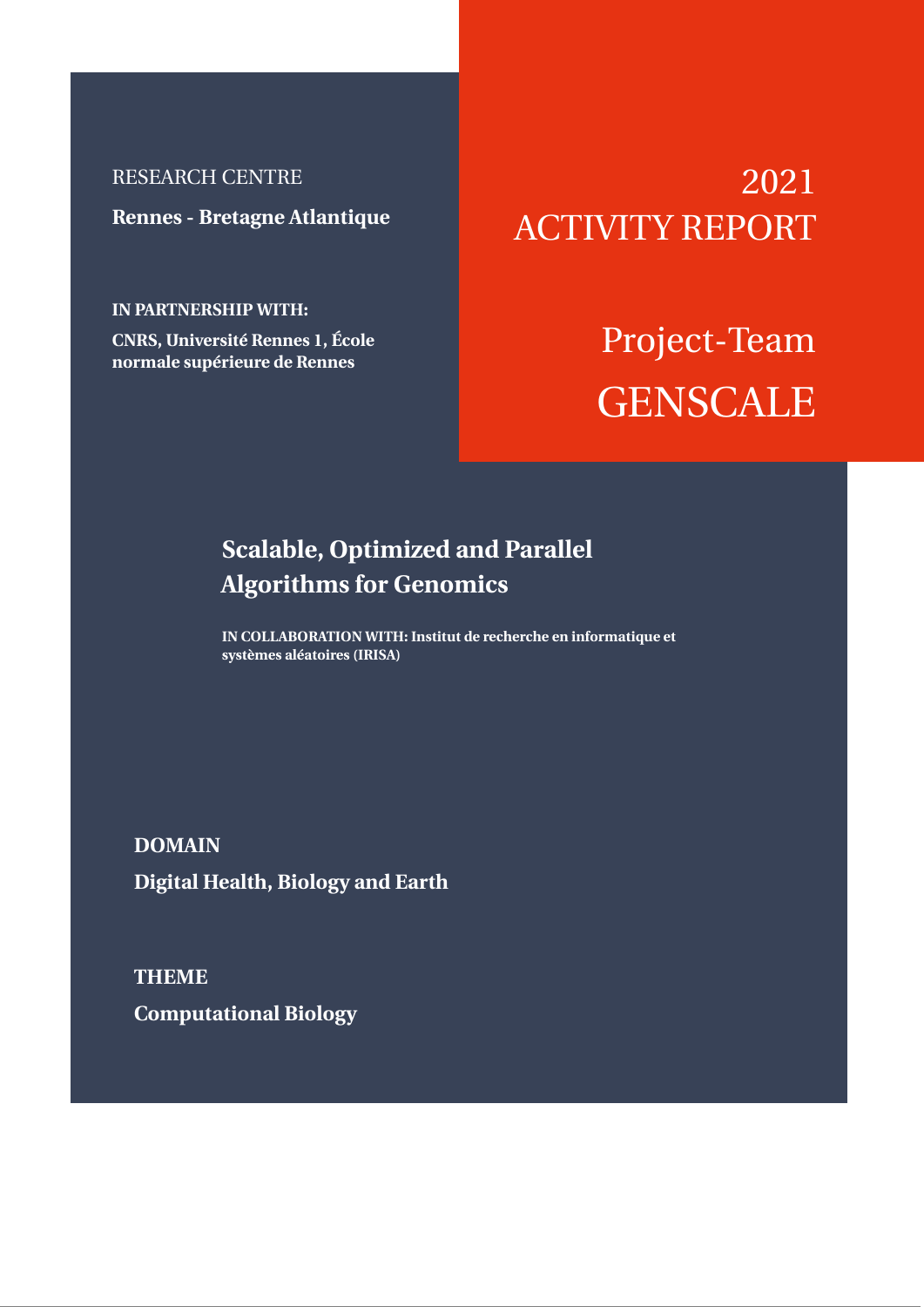## RESEARCH CENTRE

**Rennes - Bretagne Atlantique**

**IN PARTNERSHIP WITH:**

**CNRS, Université Rennes 1, École normale supérieure de Rennes**

# 2021 ACTIVITY REPORT

# Project-Team **GENSCALE**

## **Scalable, Optimized and Parallel Algorithms for Genomics**

**IN COLLABORATION WITH: Institut de recherche en informatique et systèmes aléatoires (IRISA)**

**DOMAIN Digital Health, Biology and Earth**

**THEME Computational Biology**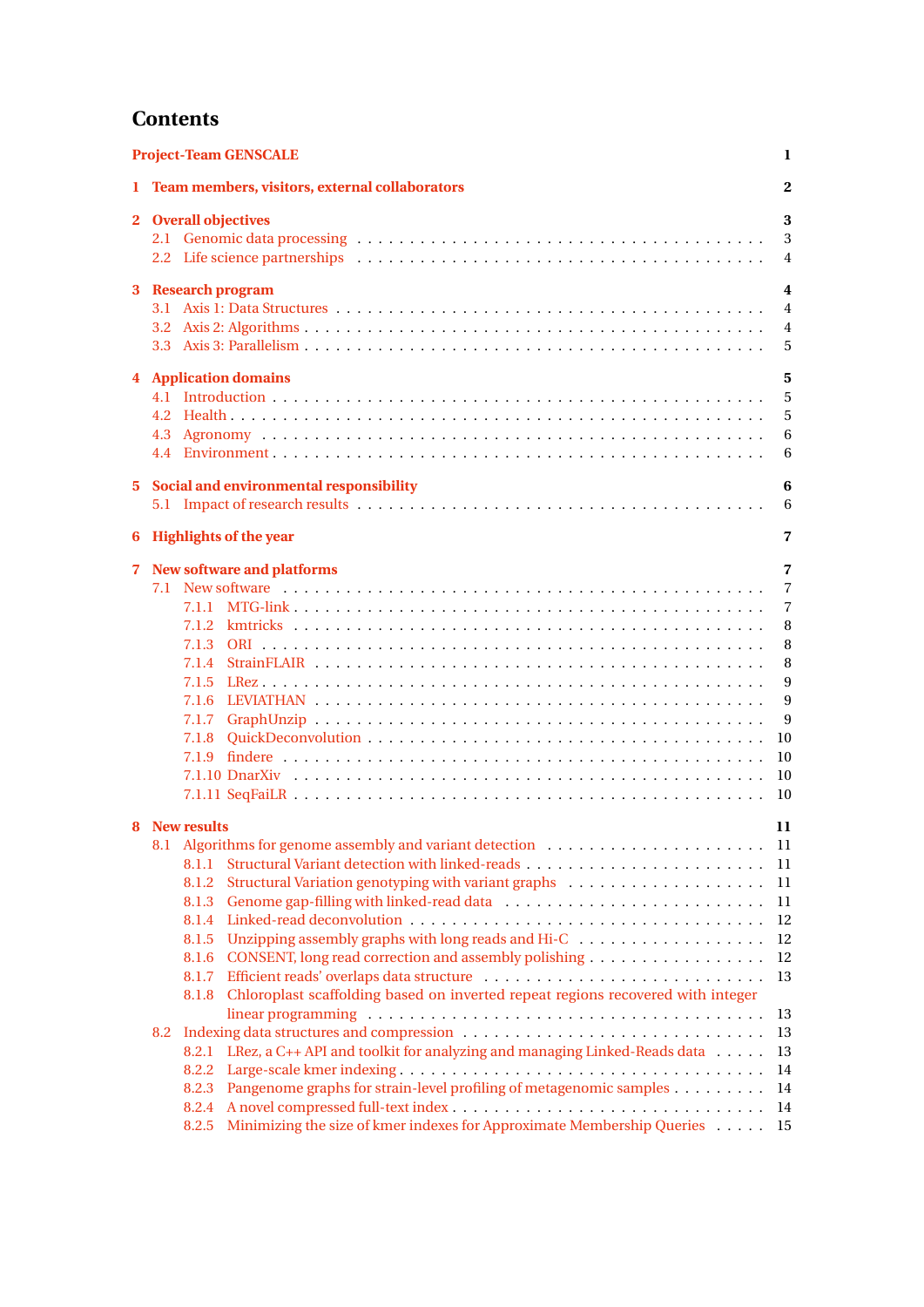## **Contents**

|              | <b>Project-Team GENSCALE</b>                                                                                                                                                                                                                                                                                                                                                                                                                                                                                        |                                                                                                            |  |  |
|--------------|---------------------------------------------------------------------------------------------------------------------------------------------------------------------------------------------------------------------------------------------------------------------------------------------------------------------------------------------------------------------------------------------------------------------------------------------------------------------------------------------------------------------|------------------------------------------------------------------------------------------------------------|--|--|
|              | 1 Team members, visitors, external collaborators                                                                                                                                                                                                                                                                                                                                                                                                                                                                    | $\overline{2}$                                                                                             |  |  |
|              | 2 Overall objectives<br>2.2 Life science partnerships (a) contained a series of the science of the science of the science of the science of the science of the science of the science of the science of the science of the science of the science of t                                                                                                                                                                                                                                                              | 3<br>3<br>$\overline{4}$                                                                                   |  |  |
|              | 3 Research program                                                                                                                                                                                                                                                                                                                                                                                                                                                                                                  | $\overline{4}$<br>$\overline{4}$<br>$\overline{4}$<br>5                                                    |  |  |
|              | <b>4</b> Application domains<br>4.2                                                                                                                                                                                                                                                                                                                                                                                                                                                                                 | 5<br>5<br>5<br>6<br>6                                                                                      |  |  |
|              | 5 Social and environmental responsibility                                                                                                                                                                                                                                                                                                                                                                                                                                                                           | 6<br>6                                                                                                     |  |  |
| 6            | <b>Highlights of the year</b>                                                                                                                                                                                                                                                                                                                                                                                                                                                                                       | 7                                                                                                          |  |  |
| $\mathbf{7}$ | <b>New software and platforms</b>                                                                                                                                                                                                                                                                                                                                                                                                                                                                                   | $\overline{7}$<br>$\overline{7}$<br>$\overline{7}$<br>8<br>8<br>8<br>9<br>9<br>9<br>10<br>10<br>-10<br>-10 |  |  |
|              | 8 New results<br>8.1.1<br>8.1.2<br>8.1.3<br>8.1.4<br>8.1.5<br>CONSENT, long read correction and assembly polishing<br>8.1.6<br>8.1.7<br>Chloroplast scaffolding based on inverted repeat regions recovered with integer<br>8.1.8<br>8.2<br>LRez, a C++ API and toolkit for analyzing and managing Linked-Reads data<br>8.2.1<br>8.2.2<br>Pangenome graphs for strain-level profiling of metagenomic samples<br>8.2.3<br>8.2.4<br>Minimizing the size of kmer indexes for Approximate Membership Queries 15<br>8.2.5 | 11<br>11<br>-11<br>11<br>11<br>12<br>12<br>12<br>13<br>13<br>13<br>13<br>14<br>14<br>14                    |  |  |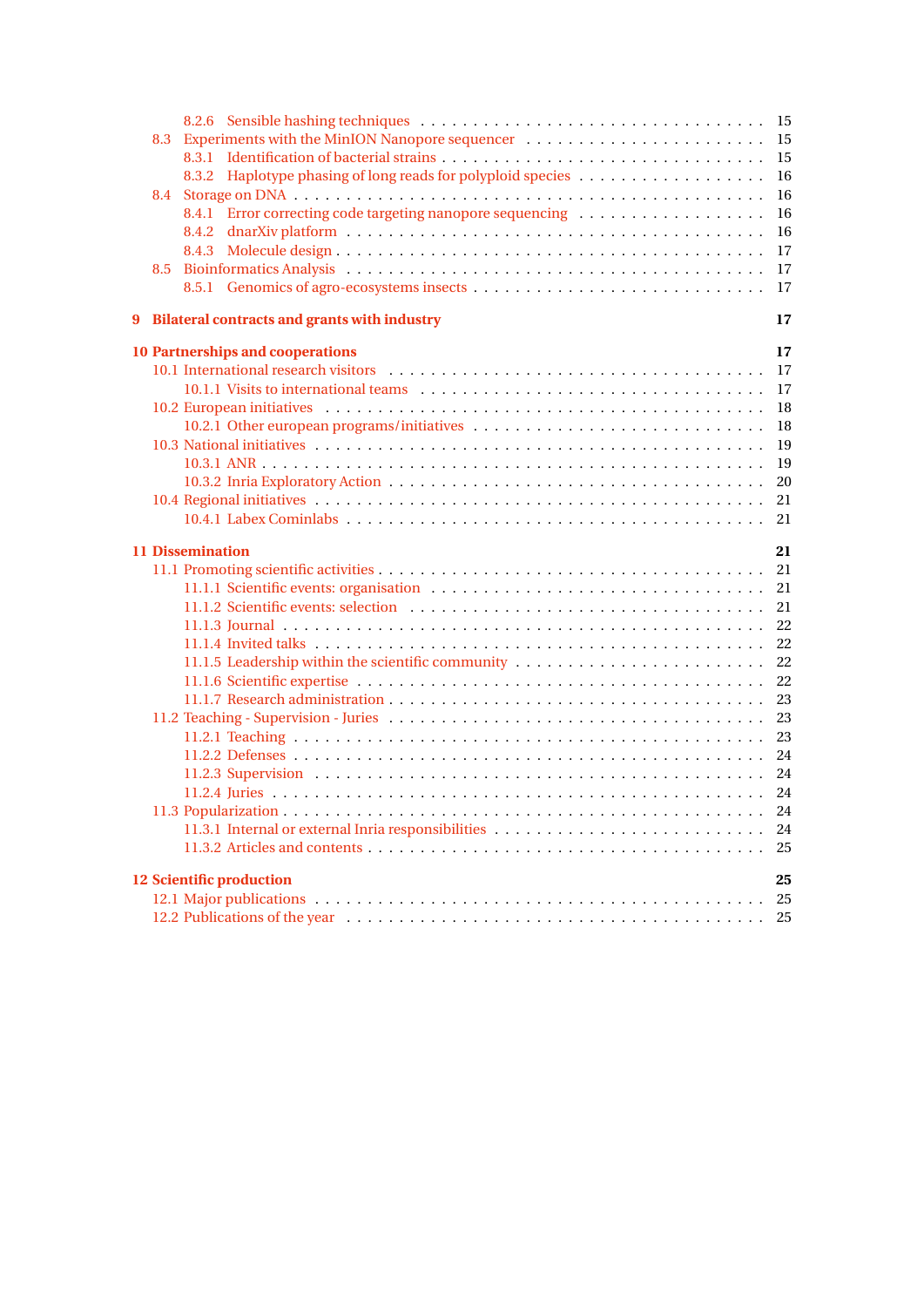|   |     |                                                                                                                                                                                                                                | 15 |
|---|-----|--------------------------------------------------------------------------------------------------------------------------------------------------------------------------------------------------------------------------------|----|
|   | 8.3 |                                                                                                                                                                                                                                | 15 |
|   |     |                                                                                                                                                                                                                                | 15 |
|   |     |                                                                                                                                                                                                                                | 16 |
|   | 8.4 |                                                                                                                                                                                                                                | 16 |
|   |     | 8.4.1 Error correcting code targeting nanopore sequencing                                                                                                                                                                      | 16 |
|   |     |                                                                                                                                                                                                                                | 16 |
|   |     |                                                                                                                                                                                                                                | 17 |
|   | 8.5 | Bioinformatics Analysis (also contained a series of the series of the series of the series of the series of the series of the series of the series of the series of the series of the series of the series of the series of th | 17 |
|   |     |                                                                                                                                                                                                                                | 17 |
| 9 |     | <b>Bilateral contracts and grants with industry</b>                                                                                                                                                                            | 17 |
|   |     | <b>10 Partnerships and cooperations</b>                                                                                                                                                                                        | 17 |
|   |     |                                                                                                                                                                                                                                | 17 |
|   |     |                                                                                                                                                                                                                                | 17 |
|   |     |                                                                                                                                                                                                                                | 18 |
|   |     |                                                                                                                                                                                                                                | 18 |
|   |     |                                                                                                                                                                                                                                | 19 |
|   |     |                                                                                                                                                                                                                                | 19 |
|   |     |                                                                                                                                                                                                                                | 20 |
|   |     |                                                                                                                                                                                                                                | 21 |
|   |     |                                                                                                                                                                                                                                | 21 |
|   |     | <b>11 Dissemination</b>                                                                                                                                                                                                        | 21 |
|   |     |                                                                                                                                                                                                                                | 21 |
|   |     |                                                                                                                                                                                                                                | 21 |
|   |     |                                                                                                                                                                                                                                | 21 |
|   |     |                                                                                                                                                                                                                                | 22 |
|   |     |                                                                                                                                                                                                                                | 22 |
|   |     |                                                                                                                                                                                                                                | 22 |
|   |     |                                                                                                                                                                                                                                | 22 |
|   |     |                                                                                                                                                                                                                                | 23 |
|   |     |                                                                                                                                                                                                                                | 23 |
|   |     |                                                                                                                                                                                                                                | 23 |
|   |     |                                                                                                                                                                                                                                | 24 |
|   |     |                                                                                                                                                                                                                                | 24 |
|   |     |                                                                                                                                                                                                                                | 24 |
|   |     |                                                                                                                                                                                                                                | 24 |
|   |     |                                                                                                                                                                                                                                | 24 |
|   |     |                                                                                                                                                                                                                                |    |
|   |     | <b>12 Scientific production</b>                                                                                                                                                                                                | 25 |
|   |     |                                                                                                                                                                                                                                |    |
|   |     |                                                                                                                                                                                                                                |    |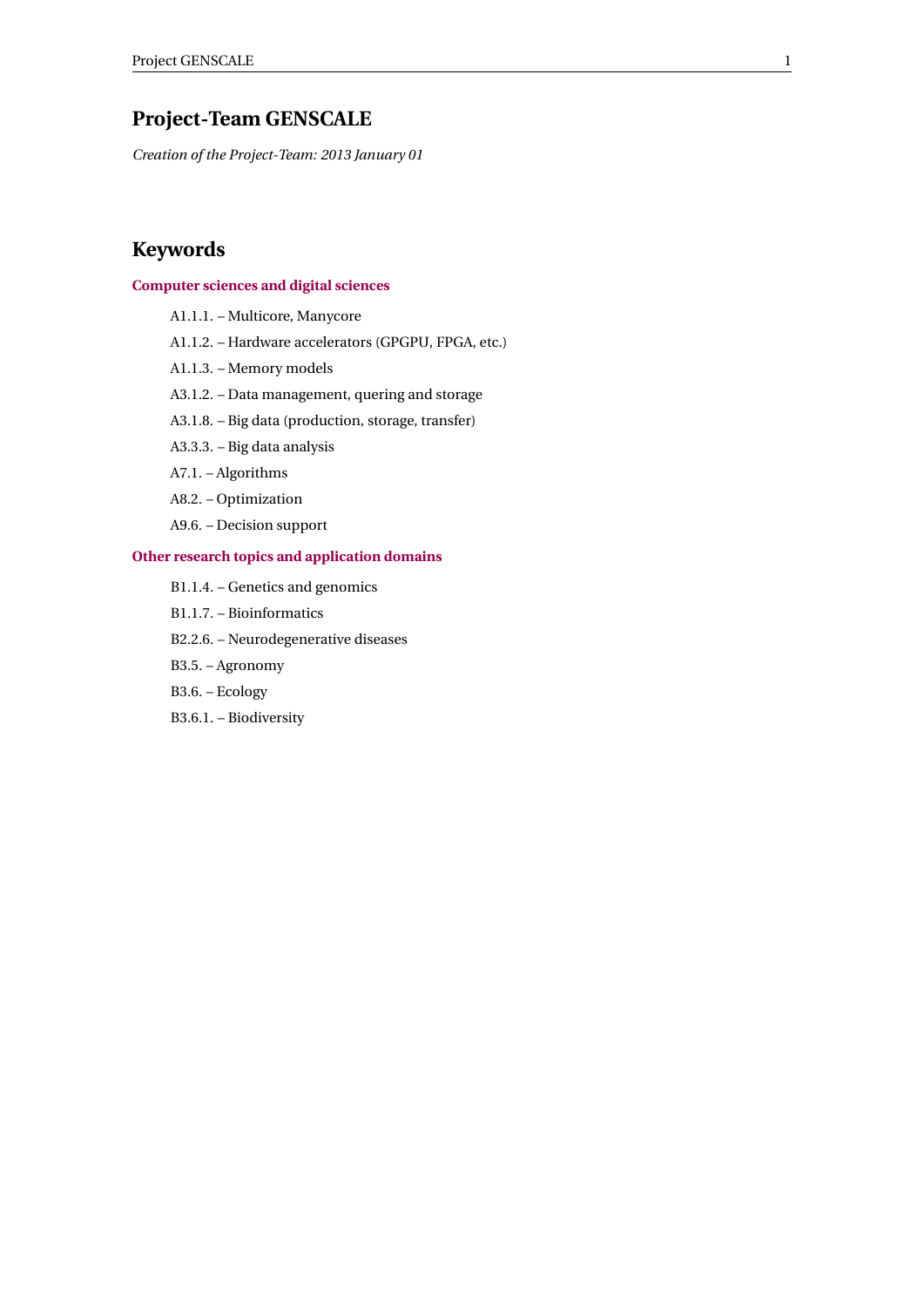## <span id="page-3-0"></span>**Project-Team GENSCALE**

*Creation of the Project-Team: 2013 January 01*

## **Keywords**

#### **[Computer sciences and digital sciences](https://raweb.inria.fr/rapportsactivite/RA2021/static/keywords/ComputerScienceandDigitalScience.html)**

- A1.1.1. Multicore, Manycore
- A1.1.2. Hardware accelerators (GPGPU, FPGA, etc.)
- A1.1.3. Memory models
- A3.1.2. Data management, quering and storage
- A3.1.8. Big data (production, storage, transfer)
- A3.3.3. Big data analysis
- A7.1. Algorithms
- A8.2. Optimization
- A9.6. Decision support

#### **[Other research topics and application domains](https://raweb.inria.fr/rapportsactivite/RA2021/static/keywords/OtherResearchTopicsandApplicationDomains.html)**

- B1.1.4. Genetics and genomics
- B1.1.7. Bioinformatics
- B2.2.6. Neurodegenerative diseases
- B3.5. Agronomy
- B3.6. Ecology
- B3.6.1. Biodiversity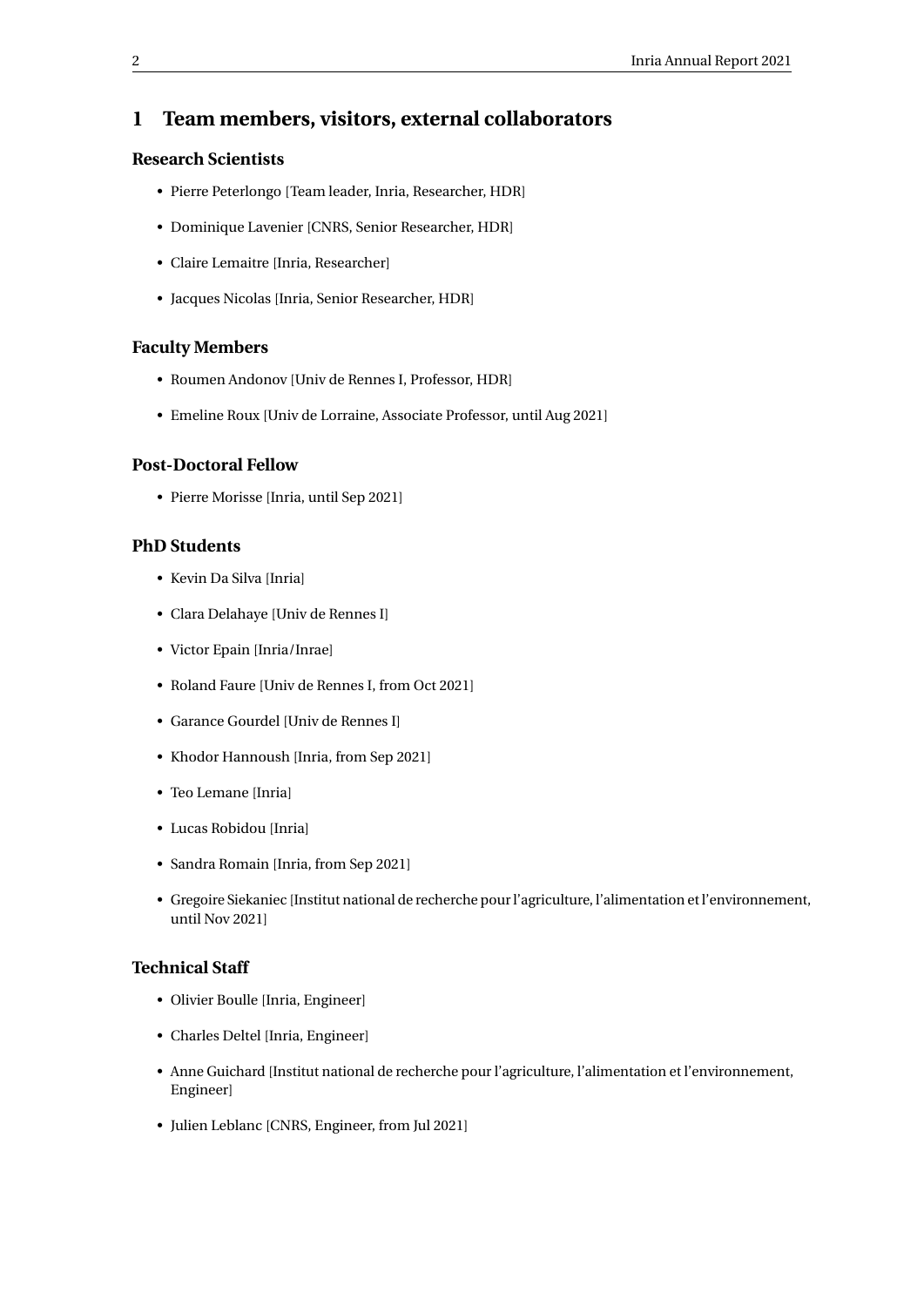## <span id="page-4-0"></span>**1 Team members, visitors, external collaborators**

## **Research Scientists**

- Pierre Peterlongo [Team leader, Inria, Researcher, HDR]
- Dominique Lavenier [CNRS, Senior Researcher, HDR]
- Claire Lemaitre [Inria, Researcher]
- Jacques Nicolas [Inria, Senior Researcher, HDR]

#### **Faculty Members**

- Roumen Andonov [Univ de Rennes I, Professor, HDR]
- Emeline Roux [Univ de Lorraine, Associate Professor, until Aug 2021]

#### **Post-Doctoral Fellow**

• Pierre Morisse [Inria, until Sep 2021]

#### **PhD Students**

- Kevin Da Silva [Inria]
- Clara Delahaye [Univ de Rennes I]
- Victor Epain [Inria/Inrae]
- Roland Faure [Univ de Rennes I, from Oct 2021]
- Garance Gourdel [Univ de Rennes I]
- Khodor Hannoush [Inria, from Sep 2021]
- Teo Lemane [Inria]
- Lucas Robidou [Inria]
- Sandra Romain [Inria, from Sep 2021]
- Gregoire Siekaniec [Institut national de recherche pour l'agriculture, l'alimentation et l'environnement, until Nov 2021]

## **Technical Staff**

- Olivier Boulle [Inria, Engineer]
- Charles Deltel [Inria, Engineer]
- Anne Guichard [Institut national de recherche pour l'agriculture, l'alimentation et l'environnement, Engineer]
- Julien Leblanc [CNRS, Engineer, from Jul 2021]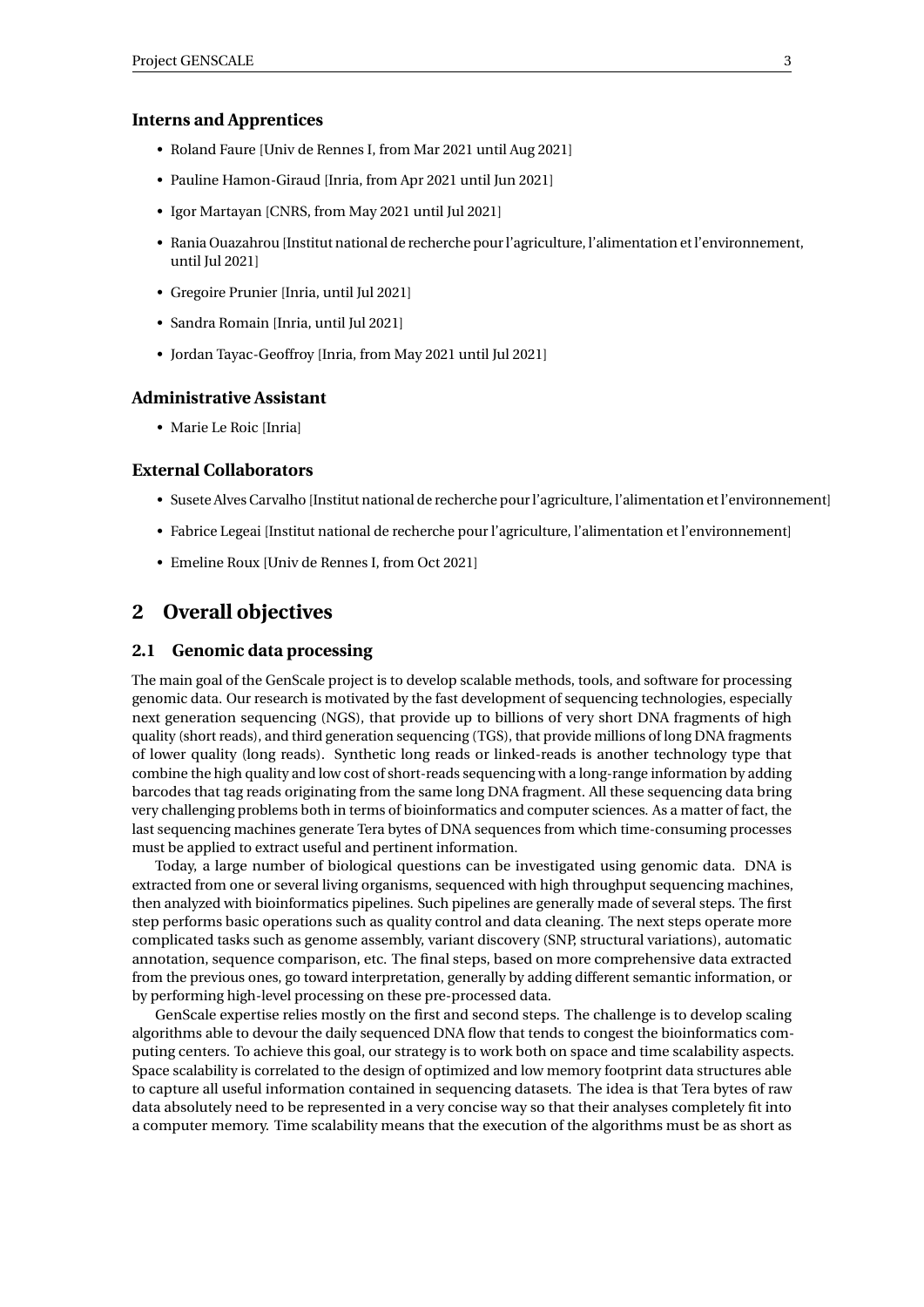#### **Interns and Apprentices**

- Roland Faure [Univ de Rennes I, from Mar 2021 until Aug 2021]
- Pauline Hamon-Giraud [Inria, from Apr 2021 until Jun 2021]
- Igor Martayan [CNRS, from May 2021 until Jul 2021]
- Rania Ouazahrou [Institut national de recherche pour l'agriculture, l'alimentation et l'environnement, until Jul 2021]
- Gregoire Prunier [Inria, until Jul 2021]
- Sandra Romain [Inria, until Jul 2021]
- Jordan Tayac-Geoffroy [Inria, from May 2021 until Jul 2021]

#### **Administrative Assistant**

• Marie Le Roic [Inria]

#### **External Collaborators**

- Susete Alves Carvalho [Institut national de recherche pour l'agriculture, l'alimentation et l'environnement]
- Fabrice Legeai [Institut national de recherche pour l'agriculture, l'alimentation et l'environnement]
- Emeline Roux [Univ de Rennes I, from Oct 2021]

## <span id="page-5-0"></span>**2 Overall objectives**

#### <span id="page-5-1"></span>**2.1 Genomic data processing**

The main goal of the GenScale project is to develop scalable methods, tools, and software for processing genomic data. Our research is motivated by the fast development of sequencing technologies, especially next generation sequencing (NGS), that provide up to billions of very short DNA fragments of high quality (short reads), and third generation sequencing (TGS), that provide millions of long DNA fragments of lower quality (long reads). Synthetic long reads or linked-reads is another technology type that combine the high quality and low cost of short-reads sequencing with a long-range information by adding barcodes that tag reads originating from the same long DNA fragment. All these sequencing data bring very challenging problems both in terms of bioinformatics and computer sciences. As a matter of fact, the last sequencing machines generate Tera bytes of DNA sequences from which time-consuming processes must be applied to extract useful and pertinent information.

Today, a large number of biological questions can be investigated using genomic data. DNA is extracted from one or several living organisms, sequenced with high throughput sequencing machines, then analyzed with bioinformatics pipelines. Such pipelines are generally made of several steps. The first step performs basic operations such as quality control and data cleaning. The next steps operate more complicated tasks such as genome assembly, variant discovery (SNP, structural variations), automatic annotation, sequence comparison, etc. The final steps, based on more comprehensive data extracted from the previous ones, go toward interpretation, generally by adding different semantic information, or by performing high-level processing on these pre-processed data.

GenScale expertise relies mostly on the first and second steps. The challenge is to develop scaling algorithms able to devour the daily sequenced DNA flow that tends to congest the bioinformatics computing centers. To achieve this goal, our strategy is to work both on space and time scalability aspects. Space scalability is correlated to the design of optimized and low memory footprint data structures able to capture all useful information contained in sequencing datasets. The idea is that Tera bytes of raw data absolutely need to be represented in a very concise way so that their analyses completely fit into a computer memory. Time scalability means that the execution of the algorithms must be as short as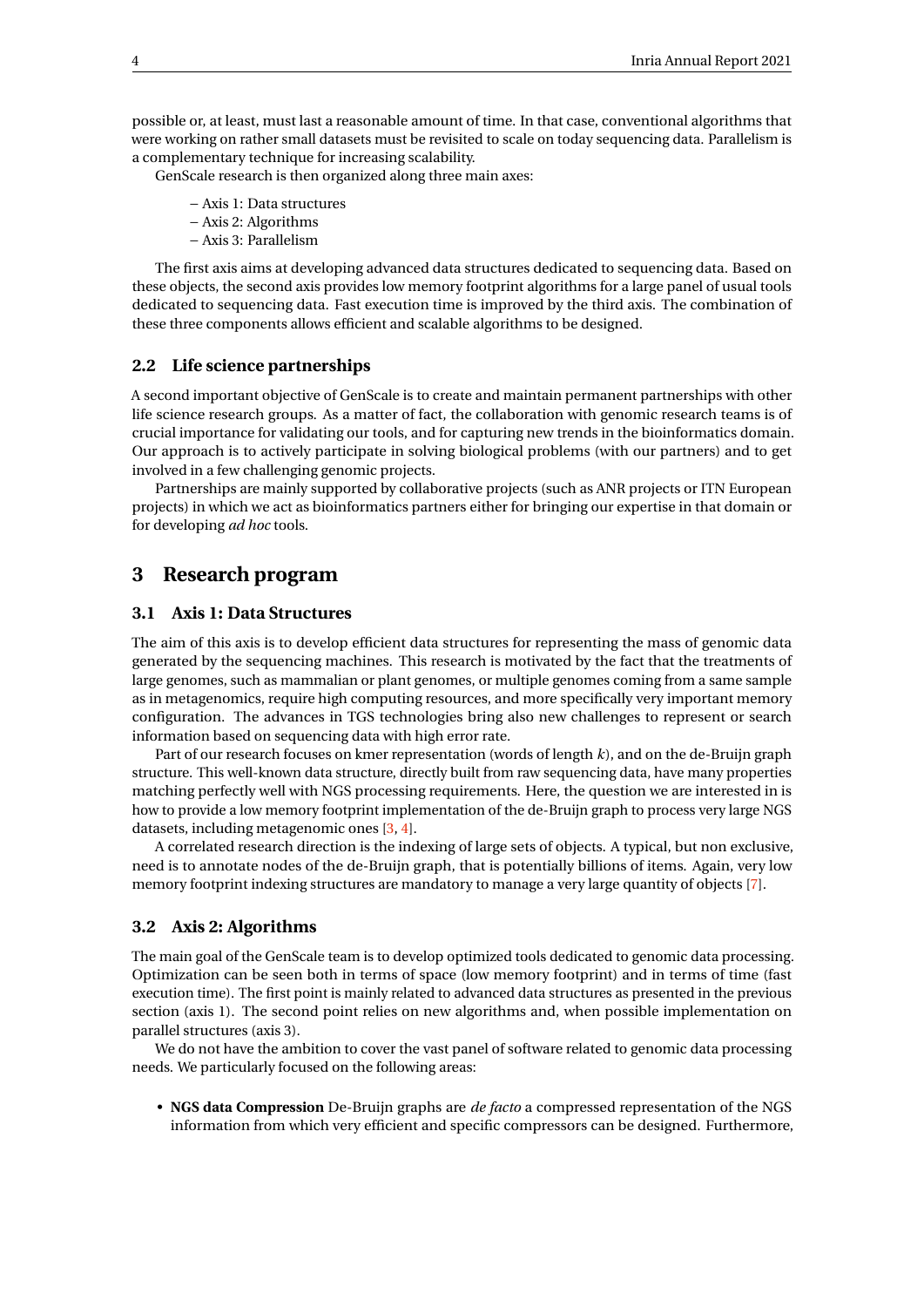possible or, at least, must last a reasonable amount of time. In that case, conventional algorithms that were working on rather small datasets must be revisited to scale on today sequencing data. Parallelism is a complementary technique for increasing scalability.

GenScale research is then organized along three main axes:

- − Axis 1: Data structures
- − Axis 2: Algorithms
- − Axis 3: Parallelism

The first axis aims at developing advanced data structures dedicated to sequencing data. Based on these objects, the second axis provides low memory footprint algorithms for a large panel of usual tools dedicated to sequencing data. Fast execution time is improved by the third axis. The combination of these three components allows efficient and scalable algorithms to be designed.

#### <span id="page-6-0"></span>**2.2 Life science partnerships**

A second important objective of GenScale is to create and maintain permanent partnerships with other life science research groups. As a matter of fact, the collaboration with genomic research teams is of crucial importance for validating our tools, and for capturing new trends in the bioinformatics domain. Our approach is to actively participate in solving biological problems (with our partners) and to get involved in a few challenging genomic projects.

Partnerships are mainly supported by collaborative projects (such as ANR projects or ITN European projects) in which we act as bioinformatics partners either for bringing our expertise in that domain or for developing *ad hoc* tools.

## <span id="page-6-1"></span>**3 Research program**

#### <span id="page-6-2"></span>**3.1 Axis 1: Data Structures**

The aim of this axis is to develop efficient data structures for representing the mass of genomic data generated by the sequencing machines. This research is motivated by the fact that the treatments of large genomes, such as mammalian or plant genomes, or multiple genomes coming from a same sample as in metagenomics, require high computing resources, and more specifically very important memory configuration. The advances in TGS technologies bring also new challenges to represent or search information based on sequencing data with high error rate.

Part of our research focuses on kmer representation (words of length *k*), and on the de-Bruijn graph structure. This well-known data structure, directly built from raw sequencing data, have many properties matching perfectly well with NGS processing requirements. Here, the question we are interested in is how to provide a low memory footprint implementation of the de-Bruijn graph to process very large NGS datasets, including metagenomic ones [\[3,](#page-27-4) [4\]](#page-27-5).

A correlated research direction is the indexing of large sets of objects. A typical, but non exclusive, need is to annotate nodes of the de-Bruijn graph, that is potentially billions of items. Again, very low memory footprint indexing structures are mandatory to manage a very large quantity of objects [\[7\]](#page-27-6).

#### <span id="page-6-3"></span>**3.2 Axis 2: Algorithms**

The main goal of the GenScale team is to develop optimized tools dedicated to genomic data processing. Optimization can be seen both in terms of space (low memory footprint) and in terms of time (fast execution time). The first point is mainly related to advanced data structures as presented in the previous section (axis 1). The second point relies on new algorithms and, when possible implementation on parallel structures (axis 3).

We do not have the ambition to cover the vast panel of software related to genomic data processing needs. We particularly focused on the following areas:

• **NGS data Compression** De-Bruijn graphs are *de facto* a compressed representation of the NGS information from which very efficient and specific compressors can be designed. Furthermore,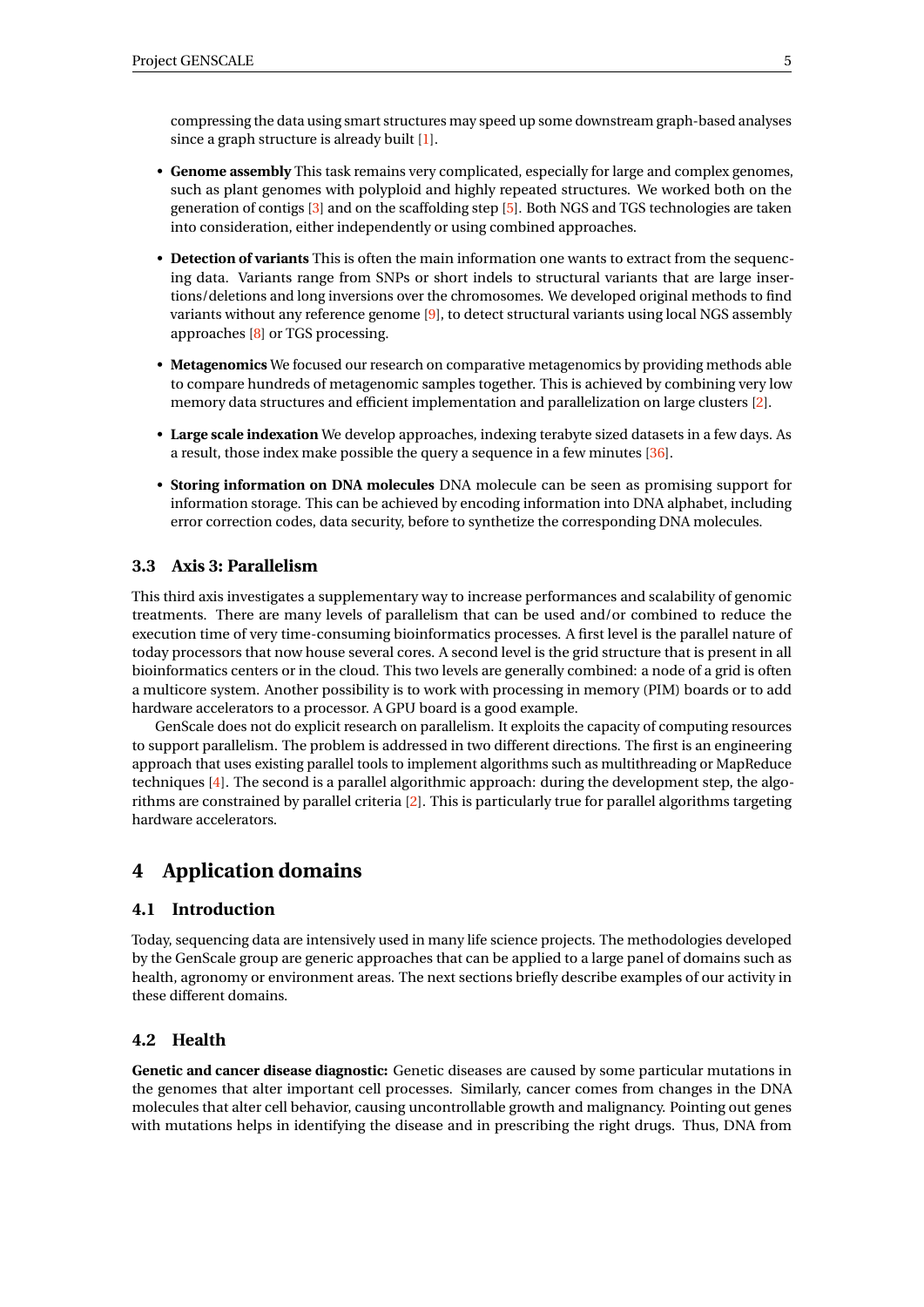compressing the data using smart structures may speed up some downstream graph-based analyses since a graph structure is already built [\[1\]](#page-27-7).

- **Genome assembly** This task remains very complicated, especially for large and complex genomes, such as plant genomes with polyploid and highly repeated structures. We worked both on the generation of contigs [\[3\]](#page-27-4) and on the scaffolding step [\[5\]](#page-27-8). Both NGS and TGS technologies are taken into consideration, either independently or using combined approaches.
- **Detection of variants** This is often the main information one wants to extract from the sequencing data. Variants range from SNPs or short indels to structural variants that are large insertions/deletions and long inversions over the chromosomes. We developed original methods to find variants without any reference genome [\[9\]](#page-27-9), to detect structural variants using local NGS assembly approaches [\[8\]](#page-27-10) or TGS processing.
- **Metagenomics** We focused our research on comparative metagenomics by providing methods able to compare hundreds of metagenomic samples together. This is achieved by combining very low memory data structures and efficient implementation and parallelization on large clusters [\[2\]](#page-27-11).
- **Large scale indexation** We develop approaches, indexing terabyte sized datasets in a few days. As a result, those index make possible the query a sequence in a few minutes [\[36\]](#page-30-0).
- **Storing information on DNA molecules** DNA molecule can be seen as promising support for information storage. This can be achieved by encoding information into DNA alphabet, including error correction codes, data security, before to synthetize the corresponding DNA molecules.

#### <span id="page-7-0"></span>**3.3 Axis 3: Parallelism**

This third axis investigates a supplementary way to increase performances and scalability of genomic treatments. There are many levels of parallelism that can be used and/or combined to reduce the execution time of very time-consuming bioinformatics processes. A first level is the parallel nature of today processors that now house several cores. A second level is the grid structure that is present in all bioinformatics centers or in the cloud. This two levels are generally combined: a node of a grid is often a multicore system. Another possibility is to work with processing in memory (PIM) boards or to add hardware accelerators to a processor. A GPU board is a good example.

GenScale does not do explicit research on parallelism. It exploits the capacity of computing resources to support parallelism. The problem is addressed in two different directions. The first is an engineering approach that uses existing parallel tools to implement algorithms such as multithreading or MapReduce techniques [\[4\]](#page-27-5). The second is a parallel algorithmic approach: during the development step, the algorithms are constrained by parallel criteria [\[2\]](#page-27-11). This is particularly true for parallel algorithms targeting hardware accelerators.

## <span id="page-7-1"></span>**4 Application domains**

#### <span id="page-7-2"></span>**4.1 Introduction**

Today, sequencing data are intensively used in many life science projects. The methodologies developed by the GenScale group are generic approaches that can be applied to a large panel of domains such as health, agronomy or environment areas. The next sections briefly describe examples of our activity in these different domains.

#### <span id="page-7-3"></span>**4.2 Health**

**Genetic and cancer disease diagnostic:** Genetic diseases are caused by some particular mutations in the genomes that alter important cell processes. Similarly, cancer comes from changes in the DNA molecules that alter cell behavior, causing uncontrollable growth and malignancy. Pointing out genes with mutations helps in identifying the disease and in prescribing the right drugs. Thus, DNA from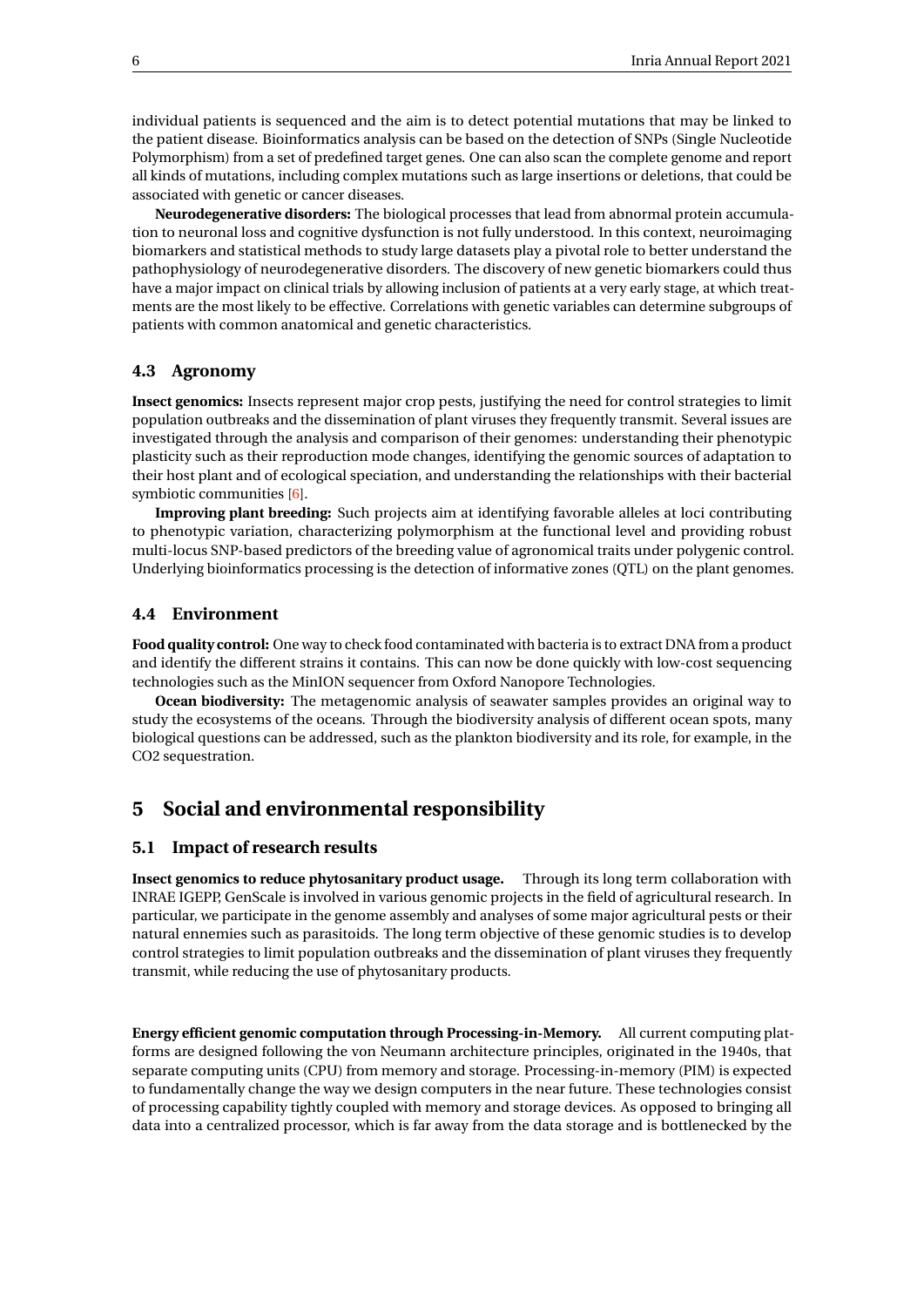individual patients is sequenced and the aim is to detect potential mutations that may be linked to the patient disease. Bioinformatics analysis can be based on the detection of SNPs (Single Nucleotide Polymorphism) from a set of predefined target genes. One can also scan the complete genome and report all kinds of mutations, including complex mutations such as large insertions or deletions, that could be associated with genetic or cancer diseases.

**Neurodegenerative disorders:** The biological processes that lead from abnormal protein accumulation to neuronal loss and cognitive dysfunction is not fully understood. In this context, neuroimaging biomarkers and statistical methods to study large datasets play a pivotal role to better understand the pathophysiology of neurodegenerative disorders. The discovery of new genetic biomarkers could thus have a major impact on clinical trials by allowing inclusion of patients at a very early stage, at which treatments are the most likely to be effective. Correlations with genetic variables can determine subgroups of patients with common anatomical and genetic characteristics.

#### <span id="page-8-0"></span>**4.3 Agronomy**

**Insect genomics:** Insects represent major crop pests, justifying the need for control strategies to limit population outbreaks and the dissemination of plant viruses they frequently transmit. Several issues are investigated through the analysis and comparison of their genomes: understanding their phenotypic plasticity such as their reproduction mode changes, identifying the genomic sources of adaptation to their host plant and of ecological speciation, and understanding the relationships with their bacterial symbiotic communities [\[6\]](#page-27-12).

**Improving plant breeding:** Such projects aim at identifying favorable alleles at loci contributing to phenotypic variation, characterizing polymorphism at the functional level and providing robust multi-locus SNP-based predictors of the breeding value of agronomical traits under polygenic control. Underlying bioinformatics processing is the detection of informative zones (QTL) on the plant genomes.

#### <span id="page-8-1"></span>**4.4 Environment**

**Food quality control:** One way to check food contaminated with bacteria is to extract DNA from a product and identify the different strains it contains. This can now be done quickly with low-cost sequencing technologies such as the MinION sequencer from Oxford Nanopore Technologies.

**Ocean biodiversity:** The metagenomic analysis of seawater samples provides an original way to study the ecosystems of the oceans. Through the biodiversity analysis of different ocean spots, many biological questions can be addressed, such as the plankton biodiversity and its role, for example, in the CO2 sequestration.

## <span id="page-8-2"></span>**5 Social and environmental responsibility**

#### <span id="page-8-3"></span>**5.1 Impact of research results**

**Insect genomics to reduce phytosanitary product usage.** Through its long term collaboration with INRAE IGEPP, GenScale is involved in various genomic projects in the field of agricultural research. In particular, we participate in the genome assembly and analyses of some major agricultural pests or their natural ennemies such as parasitoids. The long term objective of these genomic studies is to develop control strategies to limit population outbreaks and the dissemination of plant viruses they frequently transmit, while reducing the use of phytosanitary products.

**Energy efficient genomic computation through Processing-in-Memory.** All current computing platforms are designed following the von Neumann architecture principles, originated in the 1940s, that separate computing units (CPU) from memory and storage. Processing-in-memory (PIM) is expected to fundamentally change the way we design computers in the near future. These technologies consist of processing capability tightly coupled with memory and storage devices. As opposed to bringing all data into a centralized processor, which is far away from the data storage and is bottlenecked by the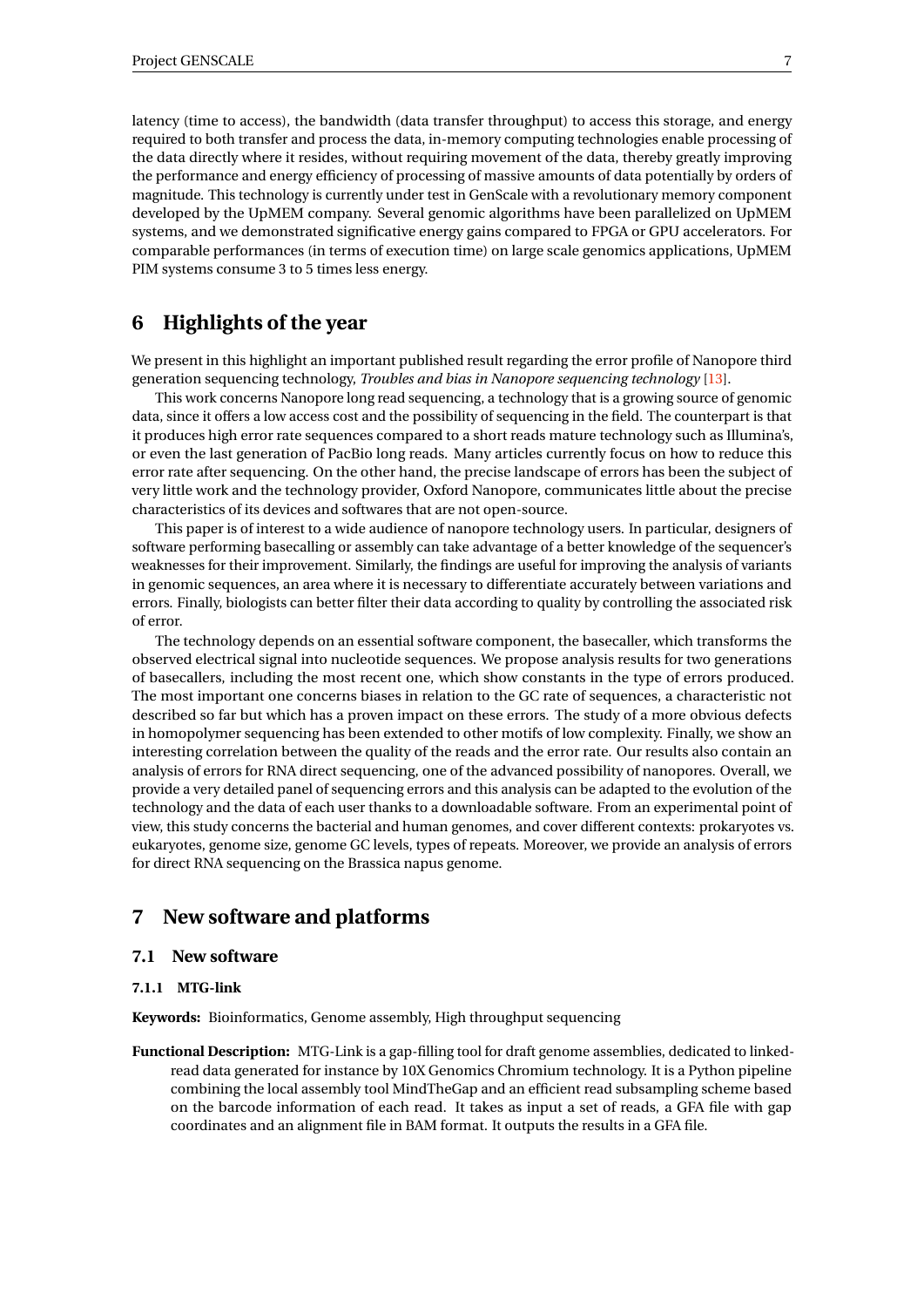latency (time to access), the bandwidth (data transfer throughput) to access this storage, and energy required to both transfer and process the data, in-memory computing technologies enable processing of the data directly where it resides, without requiring movement of the data, thereby greatly improving the performance and energy efficiency of processing of massive amounts of data potentially by orders of magnitude. This technology is currently under test in GenScale with a revolutionary memory component developed by the UpMEM company. Several genomic algorithms have been parallelized on UpMEM systems, and we demonstrated significative energy gains compared to FPGA or GPU accelerators. For comparable performances (in terms of execution time) on large scale genomics applications, UpMEM PIM systems consume 3 to 5 times less energy.

## <span id="page-9-0"></span>**6 Highlights of the year**

We present in this highlight an important published result regarding the error profile of Nanopore third generation sequencing technology, *Troubles and bias in Nanopore sequencing technology* [\[13\]](#page-28-0).

This work concerns Nanopore long read sequencing, a technology that is a growing source of genomic data, since it offers a low access cost and the possibility of sequencing in the field. The counterpart is that it produces high error rate sequences compared to a short reads mature technology such as Illumina's, or even the last generation of PacBio long reads. Many articles currently focus on how to reduce this error rate after sequencing. On the other hand, the precise landscape of errors has been the subject of very little work and the technology provider, Oxford Nanopore, communicates little about the precise characteristics of its devices and softwares that are not open-source.

This paper is of interest to a wide audience of nanopore technology users. In particular, designers of software performing basecalling or assembly can take advantage of a better knowledge of the sequencer's weaknesses for their improvement. Similarly, the findings are useful for improving the analysis of variants in genomic sequences, an area where it is necessary to differentiate accurately between variations and errors. Finally, biologists can better filter their data according to quality by controlling the associated risk of error.

The technology depends on an essential software component, the basecaller, which transforms the observed electrical signal into nucleotide sequences. We propose analysis results for two generations of basecallers, including the most recent one, which show constants in the type of errors produced. The most important one concerns biases in relation to the GC rate of sequences, a characteristic not described so far but which has a proven impact on these errors. The study of a more obvious defects in homopolymer sequencing has been extended to other motifs of low complexity. Finally, we show an interesting correlation between the quality of the reads and the error rate. Our results also contain an analysis of errors for RNA direct sequencing, one of the advanced possibility of nanopores. Overall, we provide a very detailed panel of sequencing errors and this analysis can be adapted to the evolution of the technology and the data of each user thanks to a downloadable software. From an experimental point of view, this study concerns the bacterial and human genomes, and cover different contexts: prokaryotes vs. eukaryotes, genome size, genome GC levels, types of repeats. Moreover, we provide an analysis of errors for direct RNA sequencing on the Brassica napus genome.

## <span id="page-9-1"></span>**7 New software and platforms**

#### <span id="page-9-2"></span>**7.1 New software**

#### <span id="page-9-3"></span>**7.1.1 MTG-link**

**Keywords:** Bioinformatics, Genome assembly, High throughput sequencing

**Functional Description:** MTG-Link is a gap-filling tool for draft genome assemblies, dedicated to linkedread data generated for instance by 10X Genomics Chromium technology. It is a Python pipeline combining the local assembly tool MindTheGap and an efficient read subsampling scheme based on the barcode information of each read. It takes as input a set of reads, a GFA file with gap coordinates and an alignment file in BAM format. It outputs the results in a GFA file.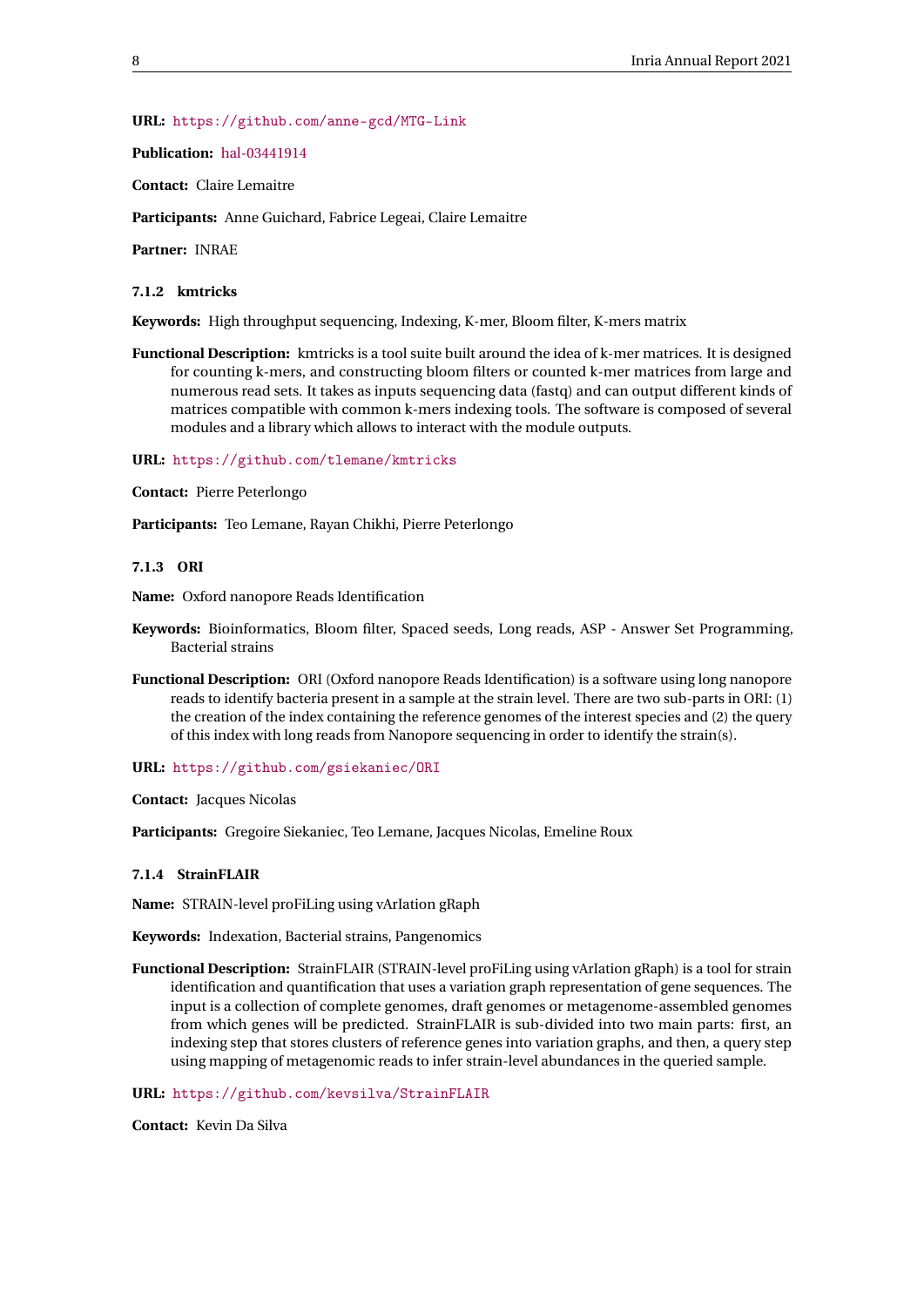#### **URL:** <https://github.com/anne-gcd/MTG-Link>

#### **Publication:** [hal-03441914](https://hal.inria.fr/hal-03441914)

**Contact:** Claire Lemaitre

**Participants:** Anne Guichard, Fabrice Legeai, Claire Lemaitre

**Partner:** INRAE

#### <span id="page-10-0"></span>**7.1.2 kmtricks**

**Keywords:** High throughput sequencing, Indexing, K-mer, Bloom filter, K-mers matrix

**Functional Description:** kmtricks is a tool suite built around the idea of k-mer matrices. It is designed for counting k-mers, and constructing bloom filters or counted k-mer matrices from large and numerous read sets. It takes as inputs sequencing data (fastq) and can output different kinds of matrices compatible with common k-mers indexing tools. The software is composed of several modules and a library which allows to interact with the module outputs.

**URL:** <https://github.com/tlemane/kmtricks>

**Contact:** Pierre Peterlongo

**Participants:** Teo Lemane, Rayan Chikhi, Pierre Peterlongo

#### <span id="page-10-1"></span>**7.1.3 ORI**

**Name:** Oxford nanopore Reads Identification

- **Keywords:** Bioinformatics, Bloom filter, Spaced seeds, Long reads, ASP Answer Set Programming, Bacterial strains
- **Functional Description:** ORI (Oxford nanopore Reads Identification) is a software using long nanopore reads to identify bacteria present in a sample at the strain level. There are two sub-parts in ORI: (1) the creation of the index containing the reference genomes of the interest species and (2) the query of this index with long reads from Nanopore sequencing in order to identify the strain(s).

#### **URL:** <https://github.com/gsiekaniec/ORI>

**Contact:** Jacques Nicolas

**Participants:** Gregoire Siekaniec, Teo Lemane, Jacques Nicolas, Emeline Roux

#### <span id="page-10-2"></span>**7.1.4 StrainFLAIR**

**Name:** STRAIN-level proFiLing using vArIation gRaph

**Keywords:** Indexation, Bacterial strains, Pangenomics

**Functional Description:** StrainFLAIR (STRAIN-level proFiLing using vArIation gRaph) is a tool for strain identification and quantification that uses a variation graph representation of gene sequences. The input is a collection of complete genomes, draft genomes or metagenome-assembled genomes from which genes will be predicted. StrainFLAIR is sub-divided into two main parts: first, an indexing step that stores clusters of reference genes into variation graphs, and then, a query step using mapping of metagenomic reads to infer strain-level abundances in the queried sample.

#### **URL:** <https://github.com/kevsilva/StrainFLAIR>

**Contact:** Kevin Da Silva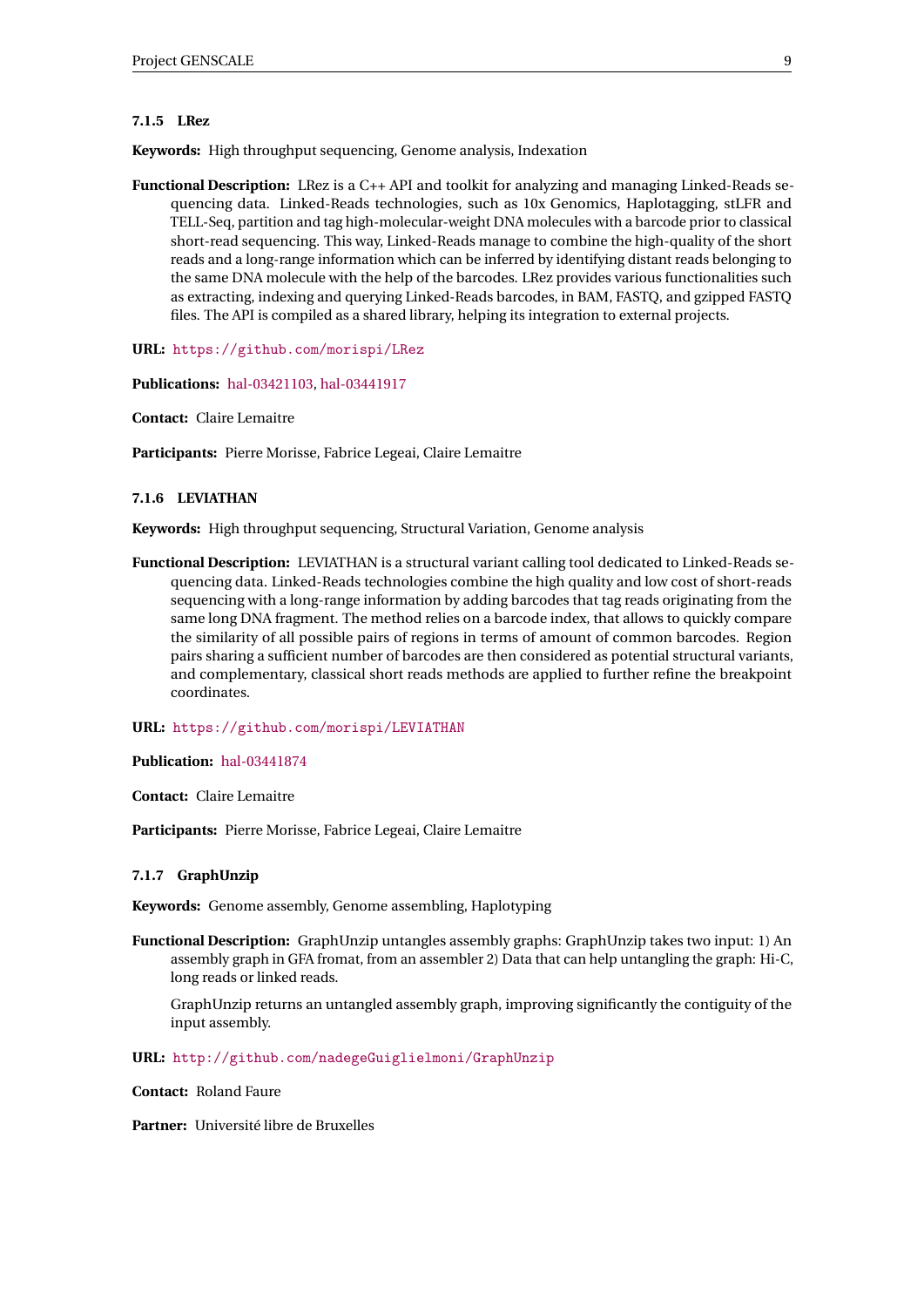#### <span id="page-11-0"></span>**7.1.5 LRez**

**Keywords:** High throughput sequencing, Genome analysis, Indexation

**Functional Description:** LRez is a C++ API and toolkit for analyzing and managing Linked-Reads sequencing data. Linked-Reads technologies, such as 10x Genomics, Haplotagging, stLFR and TELL-Seq, partition and tag high-molecular-weight DNA molecules with a barcode prior to classical short-read sequencing. This way, Linked-Reads manage to combine the high-quality of the short reads and a long-range information which can be inferred by identifying distant reads belonging to the same DNA molecule with the help of the barcodes. LRez provides various functionalities such as extracting, indexing and querying Linked-Reads barcodes, in BAM, FASTQ, and gzipped FASTQ files. The API is compiled as a shared library, helping its integration to external projects.

**URL:** <https://github.com/morispi/LRez>

**Publications:** [hal-03421103,](https://hal.inria.fr/hal-03421103) [hal-03441917](https://hal.inria.fr/hal-03441917)

**Contact:** Claire Lemaitre

**Participants:** Pierre Morisse, Fabrice Legeai, Claire Lemaitre

#### <span id="page-11-1"></span>**7.1.6 LEVIATHAN**

**Keywords:** High throughput sequencing, Structural Variation, Genome analysis

**Functional Description:** LEVIATHAN is a structural variant calling tool dedicated to Linked-Reads sequencing data. Linked-Reads technologies combine the high quality and low cost of short-reads sequencing with a long-range information by adding barcodes that tag reads originating from the same long DNA fragment. The method relies on a barcode index, that allows to quickly compare the similarity of all possible pairs of regions in terms of amount of common barcodes. Region pairs sharing a sufficient number of barcodes are then considered as potential structural variants, and complementary, classical short reads methods are applied to further refine the breakpoint coordinates.

#### **URL:** <https://github.com/morispi/LEVIATHAN>

**Publication:** [hal-03441874](https://hal.inria.fr/hal-03441874)

**Contact:** Claire Lemaitre

**Participants:** Pierre Morisse, Fabrice Legeai, Claire Lemaitre

#### <span id="page-11-2"></span>**7.1.7 GraphUnzip**

**Keywords:** Genome assembly, Genome assembling, Haplotyping

**Functional Description:** GraphUnzip untangles assembly graphs: GraphUnzip takes two input: 1) An assembly graph in GFA fromat, from an assembler 2) Data that can help untangling the graph: Hi-C, long reads or linked reads.

GraphUnzip returns an untangled assembly graph, improving significantly the contiguity of the input assembly.

**URL:** <http://github.com/nadegeGuiglielmoni/GraphUnzip>

**Contact:** Roland Faure

**Partner:** Université libre de Bruxelles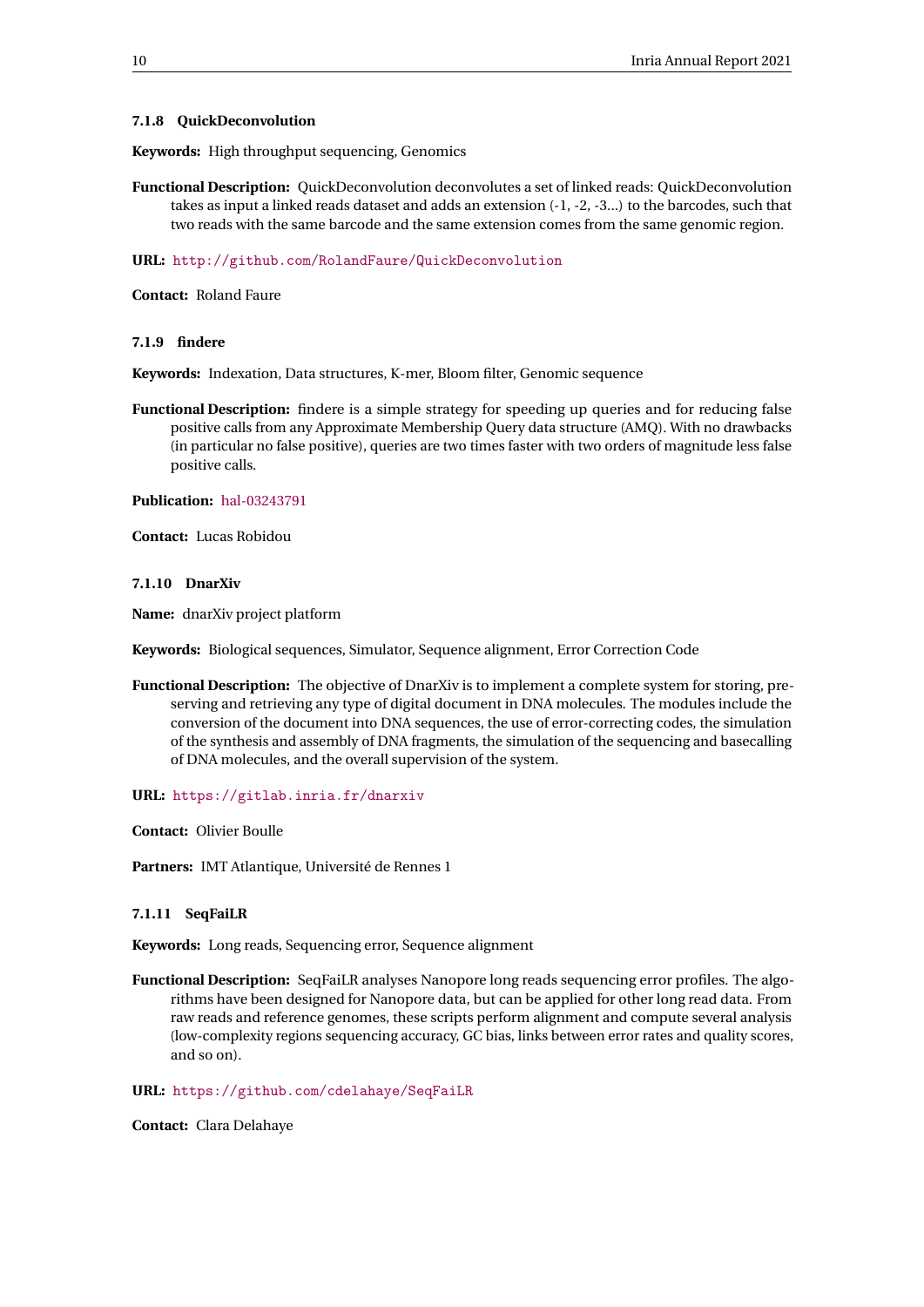#### <span id="page-12-0"></span>**7.1.8 QuickDeconvolution**

**Keywords:** High throughput sequencing, Genomics

**Functional Description:** QuickDeconvolution deconvolutes a set of linked reads: QuickDeconvolution takes as input a linked reads dataset and adds an extension (-1, -2, -3...) to the barcodes, such that two reads with the same barcode and the same extension comes from the same genomic region.

#### **URL:** <http://github.com/RolandFaure/QuickDeconvolution>

**Contact:** Roland Faure

<span id="page-12-1"></span>**7.1.9 findere**

**Keywords:** Indexation, Data structures, K-mer, Bloom filter, Genomic sequence

**Functional Description:** findere is a simple strategy for speeding up queries and for reducing false positive calls from any Approximate Membership Query data structure (AMQ). With no drawbacks (in particular no false positive), queries are two times faster with two orders of magnitude less false positive calls.

**Publication:** [hal-03243791](https://hal.inria.fr/hal-03243791)

**Contact:** Lucas Robidou

#### <span id="page-12-2"></span>**7.1.10 DnarXiv**

**Name:** dnarXiv project platform

**Keywords:** Biological sequences, Simulator, Sequence alignment, Error Correction Code

**Functional Description:** The objective of DnarXiv is to implement a complete system for storing, preserving and retrieving any type of digital document in DNA molecules. The modules include the conversion of the document into DNA sequences, the use of error-correcting codes, the simulation of the synthesis and assembly of DNA fragments, the simulation of the sequencing and basecalling of DNA molecules, and the overall supervision of the system.

**URL:** <https://gitlab.inria.fr/dnarxiv>

**Contact:** Olivier Boulle

**Partners:** IMT Atlantique, Université de Rennes 1

#### <span id="page-12-3"></span>**7.1.11 SeqFaiLR**

**Keywords:** Long reads, Sequencing error, Sequence alignment

**Functional Description:** SeqFaiLR analyses Nanopore long reads sequencing error profiles. The algorithms have been designed for Nanopore data, but can be applied for other long read data. From raw reads and reference genomes, these scripts perform alignment and compute several analysis (low-complexity regions sequencing accuracy, GC bias, links between error rates and quality scores, and so on).

#### **URL:** <https://github.com/cdelahaye/SeqFaiLR>

**Contact:** Clara Delahaye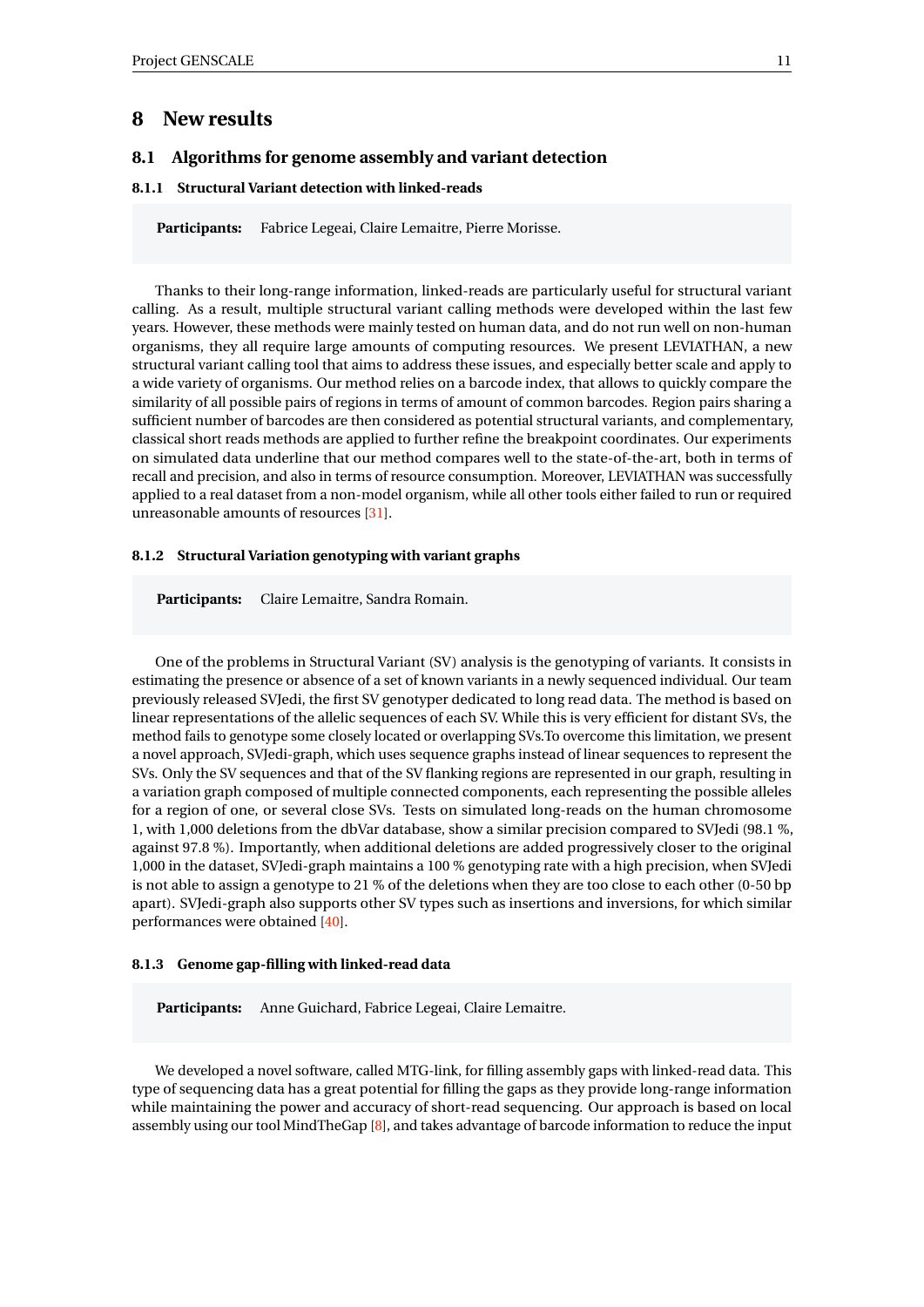## <span id="page-13-0"></span>**8 New results**

#### <span id="page-13-1"></span>**8.1 Algorithms for genome assembly and variant detection**

#### <span id="page-13-2"></span>**8.1.1 Structural Variant detection with linked-reads**

**Participants:** Fabrice Legeai, Claire Lemaitre, Pierre Morisse.

Thanks to their long-range information, linked-reads are particularly useful for structural variant calling. As a result, multiple structural variant calling methods were developed within the last few years. However, these methods were mainly tested on human data, and do not run well on non-human organisms, they all require large amounts of computing resources. We present LEVIATHAN, a new structural variant calling tool that aims to address these issues, and especially better scale and apply to a wide variety of organisms. Our method relies on a barcode index, that allows to quickly compare the similarity of all possible pairs of regions in terms of amount of common barcodes. Region pairs sharing a sufficient number of barcodes are then considered as potential structural variants, and complementary, classical short reads methods are applied to further refine the breakpoint coordinates. Our experiments on simulated data underline that our method compares well to the state-of-the-art, both in terms of recall and precision, and also in terms of resource consumption. Moreover, LEVIATHAN was successfully applied to a real dataset from a non-model organism, while all other tools either failed to run or required unreasonable amounts of resources [\[31\]](#page-29-0).

#### <span id="page-13-3"></span>**8.1.2 Structural Variation genotyping with variant graphs**

**Participants:** Claire Lemaitre, Sandra Romain.

One of the problems in Structural Variant (SV) analysis is the genotyping of variants. It consists in estimating the presence or absence of a set of known variants in a newly sequenced individual. Our team previously released SVJedi, the first SV genotyper dedicated to long read data. The method is based on linear representations of the allelic sequences of each SV. While this is very efficient for distant SVs, the method fails to genotype some closely located or overlapping SVs.To overcome this limitation, we present a novel approach, SVJedi-graph, which uses sequence graphs instead of linear sequences to represent the SVs. Only the SV sequences and that of the SV flanking regions are represented in our graph, resulting in a variation graph composed of multiple connected components, each representing the possible alleles for a region of one, or several close SVs. Tests on simulated long-reads on the human chromosome 1, with 1,000 deletions from the dbVar database, show a similar precision compared to SVJedi (98.1 %, against 97.8 %). Importantly, when additional deletions are added progressively closer to the original 1,000 in the dataset, SVJedi-graph maintains a 100 % genotyping rate with a high precision, when SVJedi is not able to assign a genotype to 21 % of the deletions when they are too close to each other (0-50 bp apart). SVJedi-graph also supports other SV types such as insertions and inversions, for which similar performances were obtained [\[40\]](#page-30-1).

#### <span id="page-13-4"></span>**8.1.3 Genome gap-filling with linked-read data**

**Participants:** Anne Guichard, Fabrice Legeai, Claire Lemaitre.

We developed a novel software, called MTG-link, for filling assembly gaps with linked-read data. This type of sequencing data has a great potential for filling the gaps as they provide long-range information while maintaining the power and accuracy of short-read sequencing. Our approach is based on local assembly using our tool MindTheGap [\[8\]](#page-27-10), and takes advantage of barcode information to reduce the input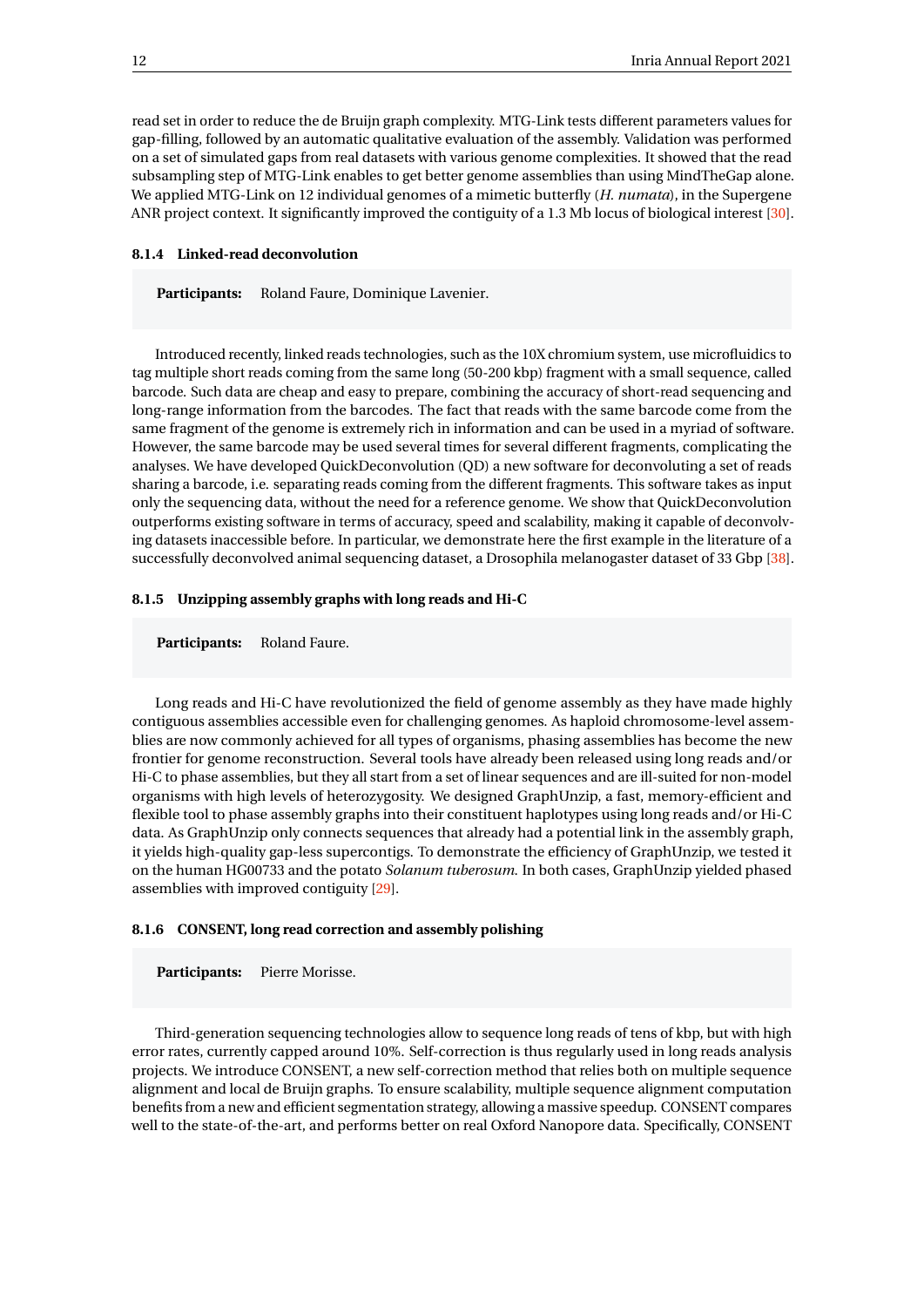read set in order to reduce the de Bruijn graph complexity. MTG-Link tests different parameters values for gap-filling, followed by an automatic qualitative evaluation of the assembly. Validation was performed on a set of simulated gaps from real datasets with various genome complexities. It showed that the read subsampling step of MTG-Link enables to get better genome assemblies than using MindTheGap alone. We applied MTG-Link on 12 individual genomes of a mimetic butterfly (*H. numata*), in the Supergene ANR project context. It significantly improved the contiguity of a 1.3 Mb locus of biological interest [\[30\]](#page-29-1).

#### <span id="page-14-0"></span>**8.1.4 Linked-read deconvolution**

**Participants:** Roland Faure, Dominique Lavenier.

Introduced recently, linked reads technologies, such as the 10X chromium system, use microfluidics to tag multiple short reads coming from the same long (50-200 kbp) fragment with a small sequence, called barcode. Such data are cheap and easy to prepare, combining the accuracy of short-read sequencing and long-range information from the barcodes. The fact that reads with the same barcode come from the same fragment of the genome is extremely rich in information and can be used in a myriad of software. However, the same barcode may be used several times for several different fragments, complicating the analyses. We have developed QuickDeconvolution (QD) a new software for deconvoluting a set of reads sharing a barcode, i.e. separating reads coming from the different fragments. This software takes as input only the sequencing data, without the need for a reference genome. We show that QuickDeconvolution outperforms existing software in terms of accuracy, speed and scalability, making it capable of deconvolving datasets inaccessible before. In particular, we demonstrate here the first example in the literature of a successfully deconvolved animal sequencing dataset, a Drosophila melanogaster dataset of 33 Gbp [\[38\]](#page-30-2).

#### <span id="page-14-1"></span>**8.1.5 Unzipping assembly graphs with long reads and Hi-C**

**Participants:** Roland Faure.

Long reads and Hi-C have revolutionized the field of genome assembly as they have made highly contiguous assemblies accessible even for challenging genomes. As haploid chromosome-level assemblies are now commonly achieved for all types of organisms, phasing assemblies has become the new frontier for genome reconstruction. Several tools have already been released using long reads and/or Hi-C to phase assemblies, but they all start from a set of linear sequences and are ill-suited for non-model organisms with high levels of heterozygosity. We designed GraphUnzip, a fast, memory-efficient and flexible tool to phase assembly graphs into their constituent haplotypes using long reads and/or Hi-C data. As GraphUnzip only connects sequences that already had a potential link in the assembly graph, it yields high-quality gap-less supercontigs. To demonstrate the efficiency of GraphUnzip, we tested it on the human HG00733 and the potato *Solanum tuberosum*. In both cases, GraphUnzip yielded phased assemblies with improved contiguity [\[29\]](#page-29-2).

#### <span id="page-14-2"></span>**8.1.6 CONSENT, long read correction and assembly polishing**

**Participants:** Pierre Morisse.

Third-generation sequencing technologies allow to sequence long reads of tens of kbp, but with high error rates, currently capped around 10%. Self-correction is thus regularly used in long reads analysis projects. We introduce CONSENT, a new self-correction method that relies both on multiple sequence alignment and local de Bruijn graphs. To ensure scalability, multiple sequence alignment computation benefits from a new and efficient segmentation strategy, allowing a massive speedup. CONSENT compares well to the state-of-the-art, and performs better on real Oxford Nanopore data. Specifically, CONSENT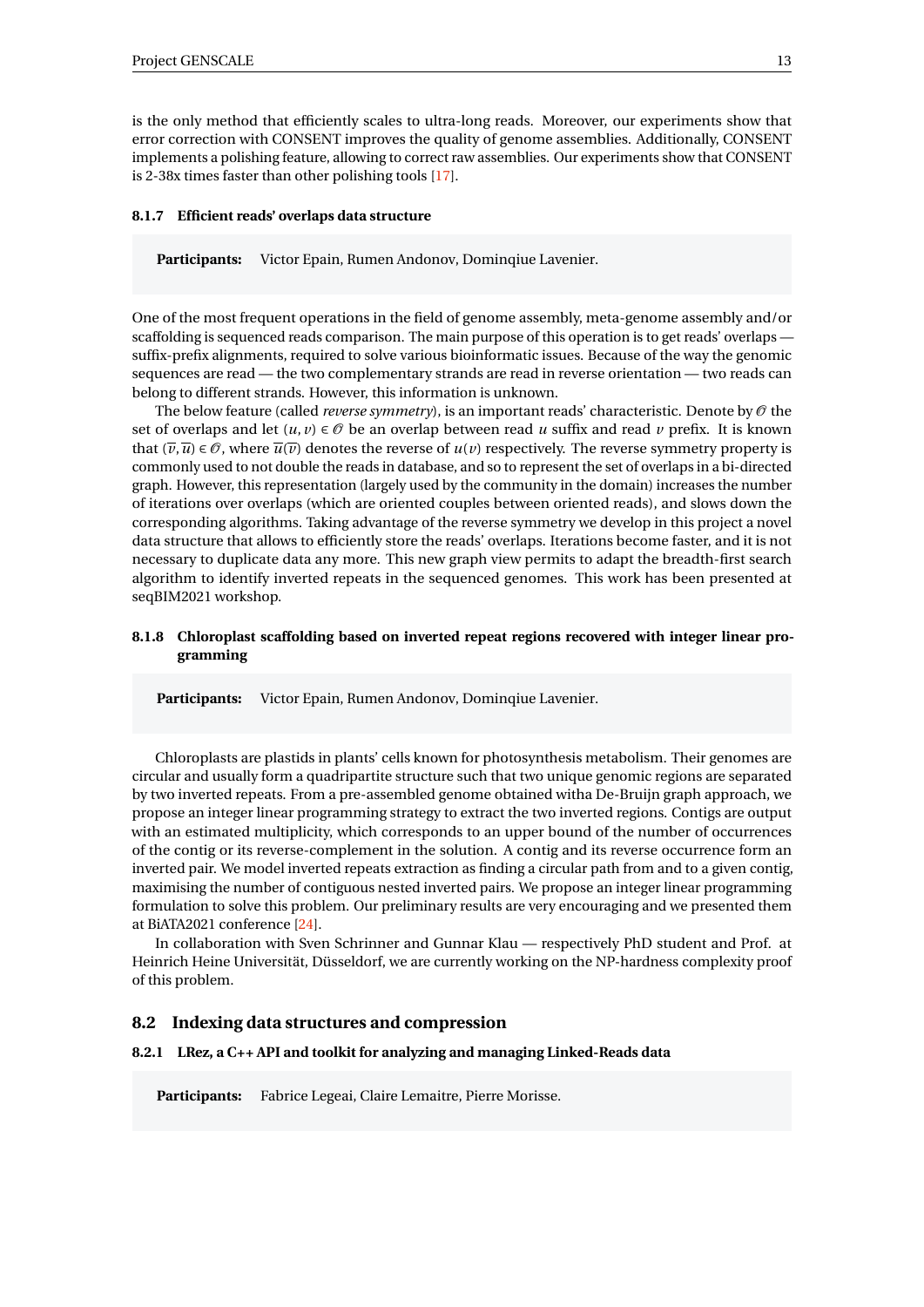is the only method that efficiently scales to ultra-long reads. Moreover, our experiments show that error correction with CONSENT improves the quality of genome assemblies. Additionally, CONSENT implements a polishing feature, allowing to correct raw assemblies. Our experiments show that CONSENT is 2-38x times faster than other polishing tools [\[17\]](#page-28-1).

#### <span id="page-15-0"></span>**8.1.7 Efficient reads' overlaps data structure**

**Participants:** Victor Epain, Rumen Andonov, Dominqiue Lavenier.

One of the most frequent operations in the field of genome assembly, meta-genome assembly and/or scaffolding is sequenced reads comparison. The main purpose of this operation is to get reads' overlaps suffix-prefix alignments, required to solve various bioinformatic issues. Because of the way the genomic sequences are read — the two complementary strands are read in reverse orientation — two reads can belong to different strands. However, this information is unknown.

The below feature (called *reverse symmetry*), is an important reads' characteristic. Denote by  $\mathcal O$  the set of overlaps and let  $(u, v) \in \mathcal{O}$  be an overlap between read *u* suffix and read *v* prefix. It is known that  $(\overline{v}, \overline{u}) \in \mathcal{O}$ , where  $\overline{u}(\overline{v})$  denotes the reverse of  $u(v)$  respectively. The reverse symmetry property is commonly used to not double the reads in database, and so to represent the set of overlaps in a bi-directed graph. However, this representation (largely used by the community in the domain) increases the number of iterations over overlaps (which are oriented couples between oriented reads), and slows down the corresponding algorithms. Taking advantage of the reverse symmetry we develop in this project a novel data structure that allows to efficiently store the reads' overlaps. Iterations become faster, and it is not necessary to duplicate data any more. This new graph view permits to adapt the breadth-first search algorithm to identify inverted repeats in the sequenced genomes. This work has been presented at seqBIM2021 workshop.

#### <span id="page-15-1"></span>**8.1.8 Chloroplast scaffolding based on inverted repeat regions recovered with integer linear programming**

**Participants:** Victor Epain, Rumen Andonov, Dominqiue Lavenier.

Chloroplasts are plastids in plants' cells known for photosynthesis metabolism. Their genomes are circular and usually form a quadripartite structure such that two unique genomic regions are separated by two inverted repeats. From a pre-assembled genome obtained witha De-Bruijn graph approach, we propose an integer linear programming strategy to extract the two inverted regions. Contigs are output with an estimated multiplicity, which corresponds to an upper bound of the number of occurrences of the contig or its reverse-complement in the solution. A contig and its reverse occurrence form an inverted pair. We model inverted repeats extraction as finding a circular path from and to a given contig, maximising the number of contiguous nested inverted pairs. We propose an integer linear programming formulation to solve this problem. Our preliminary results are very encouraging and we presented them at BiATA2021 conference [\[24\]](#page-29-3).

In collaboration with Sven Schrinner and Gunnar Klau — respectively PhD student and Prof. at Heinrich Heine Universität, Düsseldorf, we are currently working on the NP-hardness complexity proof of this problem.

#### <span id="page-15-2"></span>**8.2 Indexing data structures and compression**

#### <span id="page-15-3"></span>**8.2.1 LRez, a C++ API and toolkit for analyzing and managing Linked-Reads data**

**Participants:** Fabrice Legeai, Claire Lemaitre, Pierre Morisse.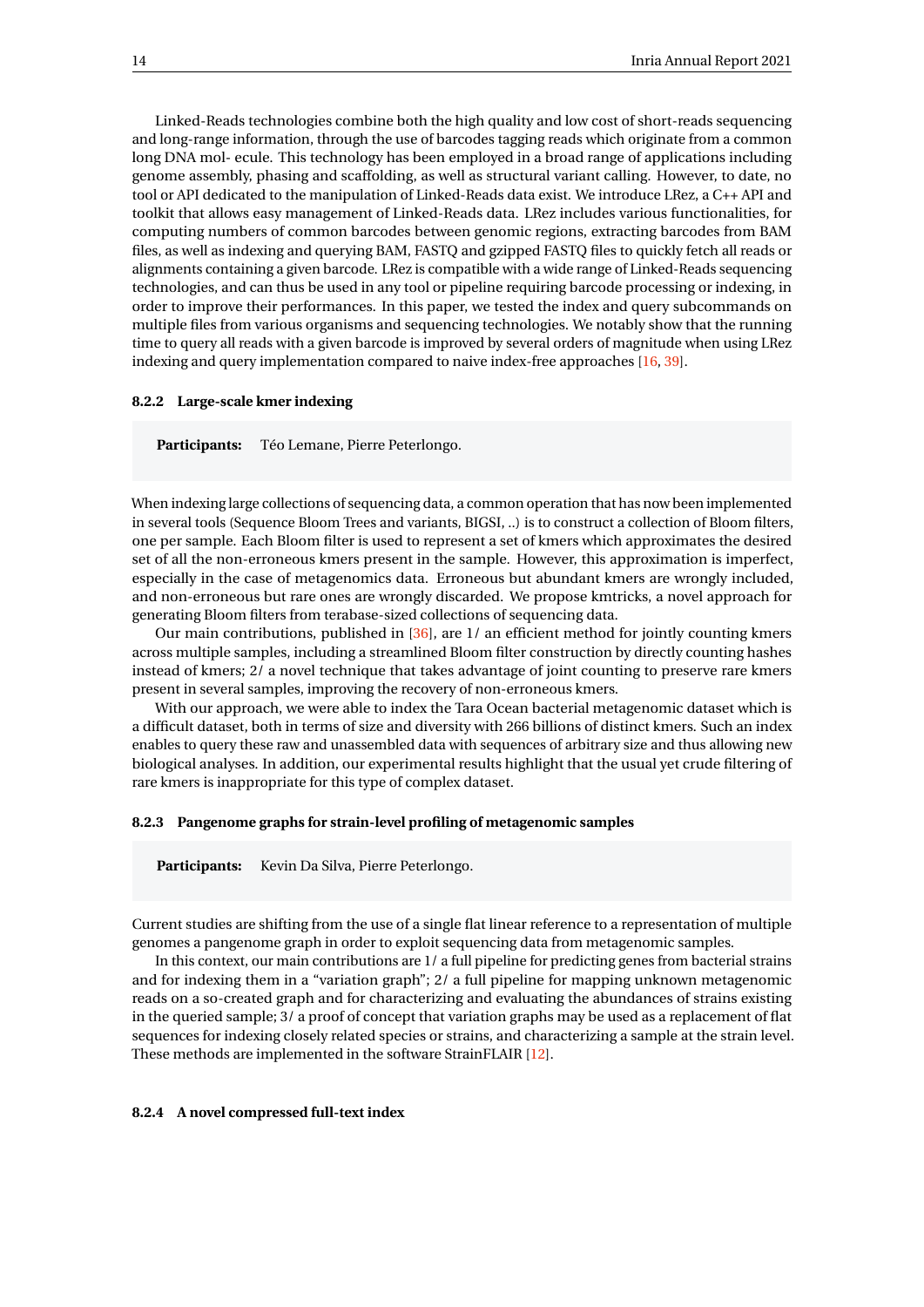Linked-Reads technologies combine both the high quality and low cost of short-reads sequencing and long-range information, through the use of barcodes tagging reads which originate from a common long DNA mol- ecule. This technology has been employed in a broad range of applications including genome assembly, phasing and scaffolding, as well as structural variant calling. However, to date, no tool or API dedicated to the manipulation of Linked-Reads data exist. We introduce LRez, a C++ API and toolkit that allows easy management of Linked-Reads data. LRez includes various functionalities, for computing numbers of common barcodes between genomic regions, extracting barcodes from BAM files, as well as indexing and querying BAM, FASTQ and gzipped FASTQ files to quickly fetch all reads or alignments containing a given barcode. LRez is compatible with a wide range of Linked-Reads sequencing technologies, and can thus be used in any tool or pipeline requiring barcode processing or indexing, in order to improve their performances. In this paper, we tested the index and query subcommands on multiple files from various organisms and sequencing technologies. We notably show that the running time to query all reads with a given barcode is improved by several orders of magnitude when using LRez indexing and query implementation compared to naive index-free approaches [\[16,](#page-28-2) [39\]](#page-30-3).

#### <span id="page-16-0"></span>**8.2.2 Large-scale kmer indexing**

**Participants:** Téo Lemane, Pierre Peterlongo.

When indexing large collections of sequencing data, a common operation that has now been implemented in several tools (Sequence Bloom Trees and variants, BIGSI, ..) is to construct a collection of Bloom filters, one per sample. Each Bloom filter is used to represent a set of kmers which approximates the desired set of all the non-erroneous kmers present in the sample. However, this approximation is imperfect, especially in the case of metagenomics data. Erroneous but abundant kmers are wrongly included, and non-erroneous but rare ones are wrongly discarded. We propose kmtricks, a novel approach for generating Bloom filters from terabase-sized collections of sequencing data.

Our main contributions, published in [\[36\]](#page-30-0), are 1/ an efficient method for jointly counting kmers across multiple samples, including a streamlined Bloom filter construction by directly counting hashes instead of kmers; 2/ a novel technique that takes advantage of joint counting to preserve rare kmers present in several samples, improving the recovery of non-erroneous kmers.

With our approach, we were able to index the Tara Ocean bacterial metagenomic dataset which is a difficult dataset, both in terms of size and diversity with 266 billions of distinct kmers. Such an index enables to query these raw and unassembled data with sequences of arbitrary size and thus allowing new biological analyses. In addition, our experimental results highlight that the usual yet crude filtering of rare kmers is inappropriate for this type of complex dataset.

#### <span id="page-16-1"></span>**8.2.3 Pangenome graphs for strain-level profiling of metagenomic samples**

Participants: Kevin Da Silva, Pierre Peterlongo.

Current studies are shifting from the use of a single flat linear reference to a representation of multiple genomes a pangenome graph in order to exploit sequencing data from metagenomic samples.

In this context, our main contributions are 1/ a full pipeline for predicting genes from bacterial strains and for indexing them in a "variation graph"; 2/ a full pipeline for mapping unknown metagenomic reads on a so-created graph and for characterizing and evaluating the abundances of strains existing in the queried sample; 3/ a proof of concept that variation graphs may be used as a replacement of flat sequences for indexing closely related species or strains, and characterizing a sample at the strain level. These methods are implemented in the software StrainFLAIR [\[12\]](#page-28-3).

#### <span id="page-16-2"></span>**8.2.4 A novel compressed full-text index**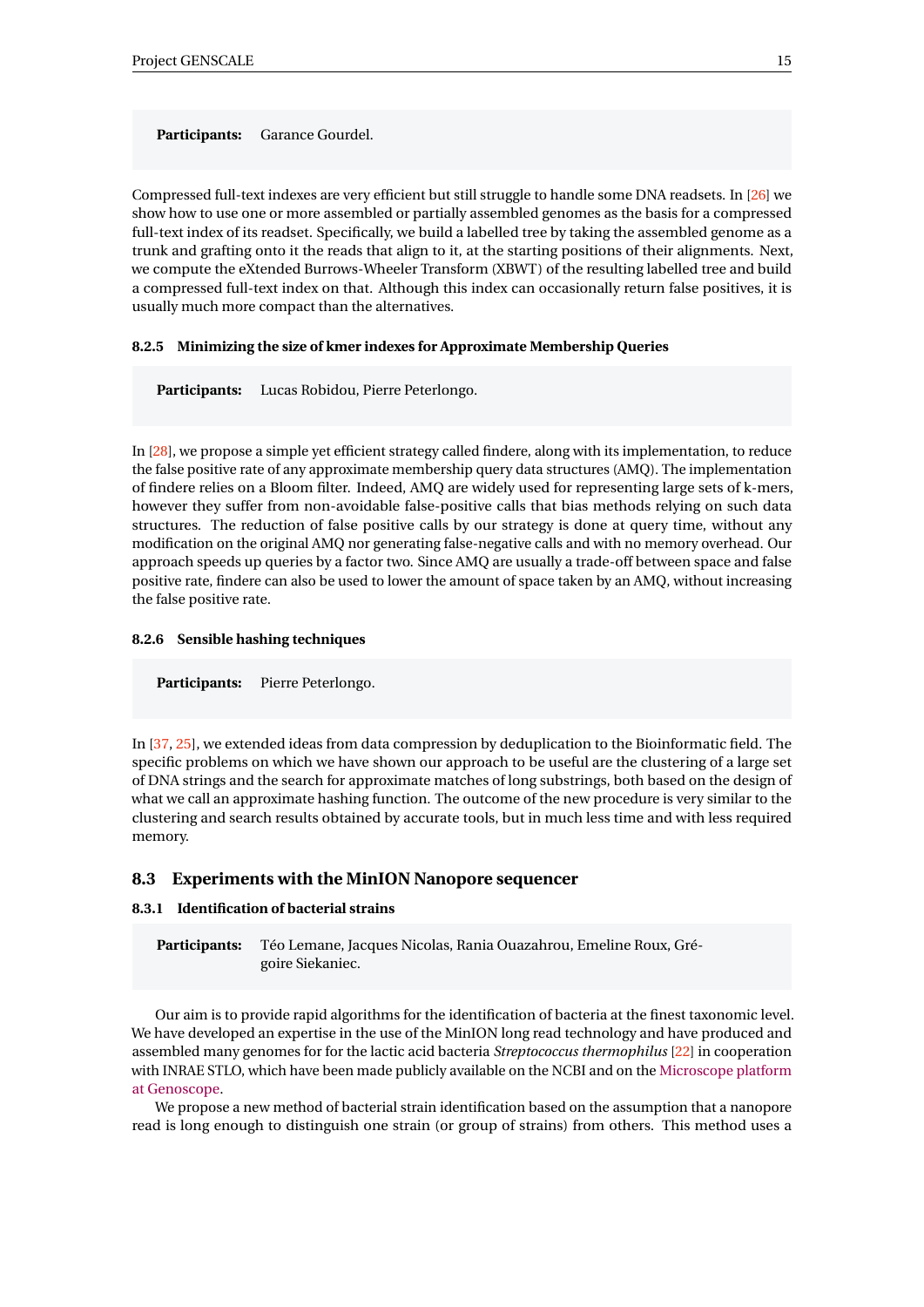**Participants:** Garance Gourdel.

Compressed full-text indexes are very efficient but still struggle to handle some DNA readsets. In [\[26\]](#page-29-4) we show how to use one or more assembled or partially assembled genomes as the basis for a compressed full-text index of its readset. Specifically, we build a labelled tree by taking the assembled genome as a trunk and grafting onto it the reads that align to it, at the starting positions of their alignments. Next, we compute the eXtended Burrows-Wheeler Transform (XBWT) of the resulting labelled tree and build a compressed full-text index on that. Although this index can occasionally return false positives, it is usually much more compact than the alternatives.

#### <span id="page-17-0"></span>**8.2.5 Minimizing the size of kmer indexes for Approximate Membership Queries**

**Participants:** Lucas Robidou, Pierre Peterlongo.

In [\[28\]](#page-29-5), we propose a simple yet efficient strategy called findere, along with its implementation, to reduce the false positive rate of any approximate membership query data structures (AMQ). The implementation of findere relies on a Bloom filter. Indeed, AMQ are widely used for representing large sets of k-mers, however they suffer from non-avoidable false-positive calls that bias methods relying on such data structures. The reduction of false positive calls by our strategy is done at query time, without any modification on the original AMQ nor generating false-negative calls and with no memory overhead. Our approach speeds up queries by a factor two. Since AMQ are usually a trade-off between space and false positive rate, findere can also be used to lower the amount of space taken by an AMQ, without increasing the false positive rate.

#### <span id="page-17-1"></span>**8.2.6 Sensible hashing techniques**

Participants: Pierre Peterlongo.

In [\[37,](#page-30-4) [25\]](#page-29-6), we extended ideas from data compression by deduplication to the Bioinformatic field. The specific problems on which we have shown our approach to be useful are the clustering of a large set of DNA strings and the search for approximate matches of long substrings, both based on the design of what we call an approximate hashing function. The outcome of the new procedure is very similar to the clustering and search results obtained by accurate tools, but in much less time and with less required memory.

#### <span id="page-17-2"></span>**8.3 Experiments with the MinION Nanopore sequencer**

#### <span id="page-17-3"></span>**8.3.1 Identification of bacterial strains**

**Participants:** Téo Lemane, Jacques Nicolas, Rania Ouazahrou, Emeline Roux, Grégoire Siekaniec.

Our aim is to provide rapid algorithms for the identification of bacteria at the finest taxonomic level. We have developed an expertise in the use of the MinION long read technology and have produced and assembled many genomes for for the lactic acid bacteria *Streptococcus thermophilus* [\[22\]](#page-28-4) in cooperation with INRAE STLO, which have been made publicly available on the NCBI and on the [Microscope platform](http://www.genoscope.cns.fr/agc/microscope/) [at Genoscope.](http://www.genoscope.cns.fr/agc/microscope/)

We propose a new method of bacterial strain identification based on the assumption that a nanopore read is long enough to distinguish one strain (or group of strains) from others. This method uses a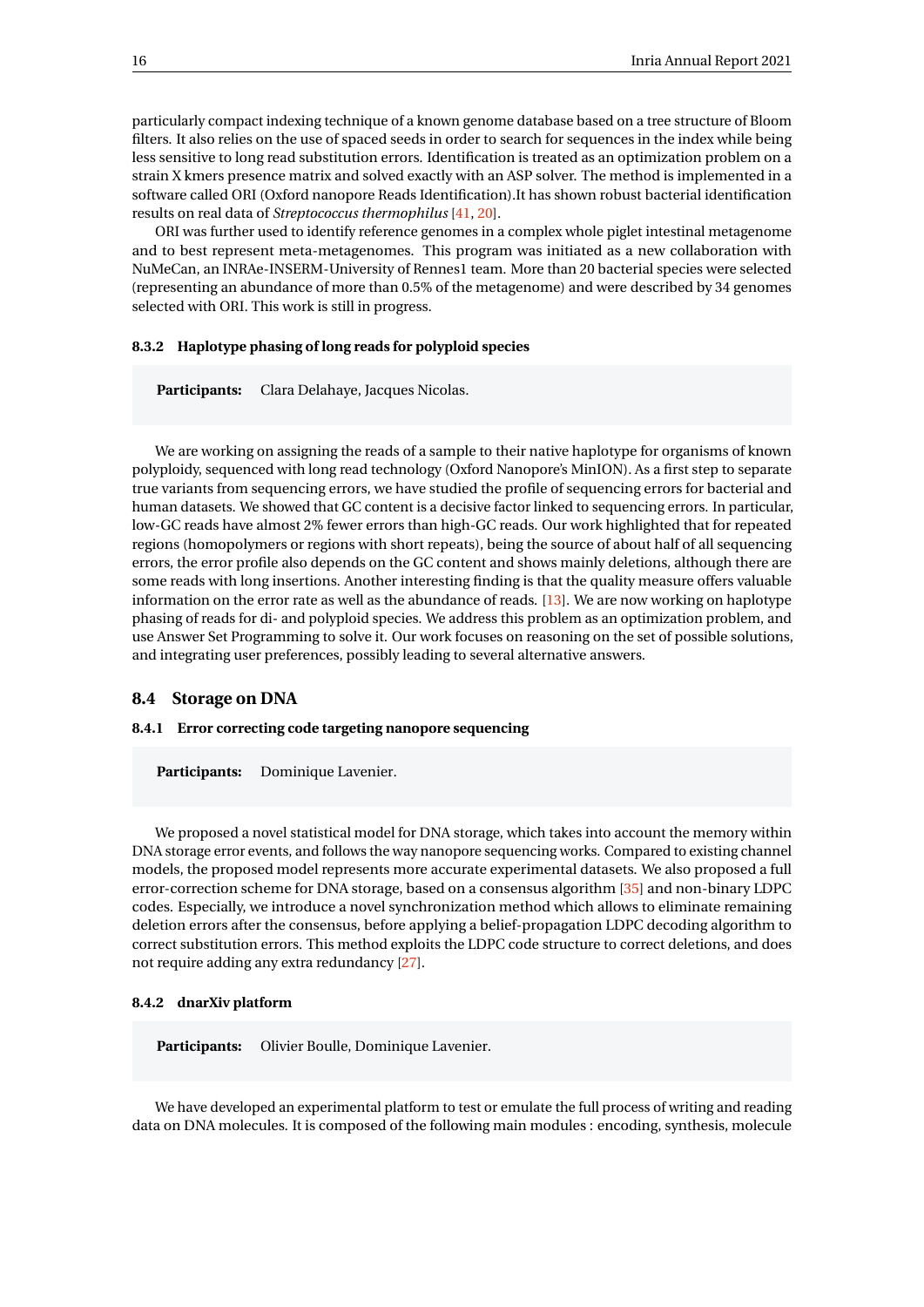particularly compact indexing technique of a known genome database based on a tree structure of Bloom filters. It also relies on the use of spaced seeds in order to search for sequences in the index while being less sensitive to long read substitution errors. Identification is treated as an optimization problem on a strain X kmers presence matrix and solved exactly with an ASP solver. The method is implemented in a software called ORI (Oxford nanopore Reads Identification).It has shown robust bacterial identification results on real data of *Streptococcus thermophilus* [\[41,](#page-30-5) [20\]](#page-28-5).

ORI was further used to identify reference genomes in a complex whole piglet intestinal metagenome and to best represent meta-metagenomes. This program was initiated as a new collaboration with NuMeCan, an INRAe-INSERM-University of Rennes1 team. More than 20 bacterial species were selected (representing an abundance of more than 0.5% of the metagenome) and were described by 34 genomes selected with ORI. This work is still in progress.

#### <span id="page-18-0"></span>**8.3.2 Haplotype phasing of long reads for polyploid species**

**Participants:** Clara Delahaye, Jacques Nicolas.

We are working on assigning the reads of a sample to their native haplotype for organisms of known polyploidy, sequenced with long read technology (Oxford Nanopore's MinION). As a first step to separate true variants from sequencing errors, we have studied the profile of sequencing errors for bacterial and human datasets. We showed that GC content is a decisive factor linked to sequencing errors. In particular, low-GC reads have almost 2% fewer errors than high-GC reads. Our work highlighted that for repeated regions (homopolymers or regions with short repeats), being the source of about half of all sequencing errors, the error profile also depends on the GC content and shows mainly deletions, although there are some reads with long insertions. Another interesting finding is that the quality measure offers valuable information on the error rate as well as the abundance of reads. [\[13\]](#page-28-0). We are now working on haplotype phasing of reads for di- and polyploid species. We address this problem as an optimization problem, and use Answer Set Programming to solve it. Our work focuses on reasoning on the set of possible solutions, and integrating user preferences, possibly leading to several alternative answers.

#### <span id="page-18-1"></span>**8.4 Storage on DNA**

#### <span id="page-18-2"></span>**8.4.1 Error correcting code targeting nanopore sequencing**

**Participants:** Dominique Lavenier.

We proposed a novel statistical model for DNA storage, which takes into account the memory within DNA storage error events, and follows the way nanopore sequencing works. Compared to existing channel models, the proposed model represents more accurate experimental datasets. We also proposed a full error-correction scheme for DNA storage, based on a consensus algorithm [\[35\]](#page-30-6) and non-binary LDPC codes. Especially, we introduce a novel synchronization method which allows to eliminate remaining deletion errors after the consensus, before applying a belief-propagation LDPC decoding algorithm to correct substitution errors. This method exploits the LDPC code structure to correct deletions, and does not require adding any extra redundancy [\[27\]](#page-29-7).

#### <span id="page-18-3"></span>**8.4.2 dnarXiv platform**

Participants: Olivier Boulle, Dominique Lavenier.

We have developed an experimental platform to test or emulate the full process of writing and reading data on DNA molecules. It is composed of the following main modules : encoding, synthesis, molecule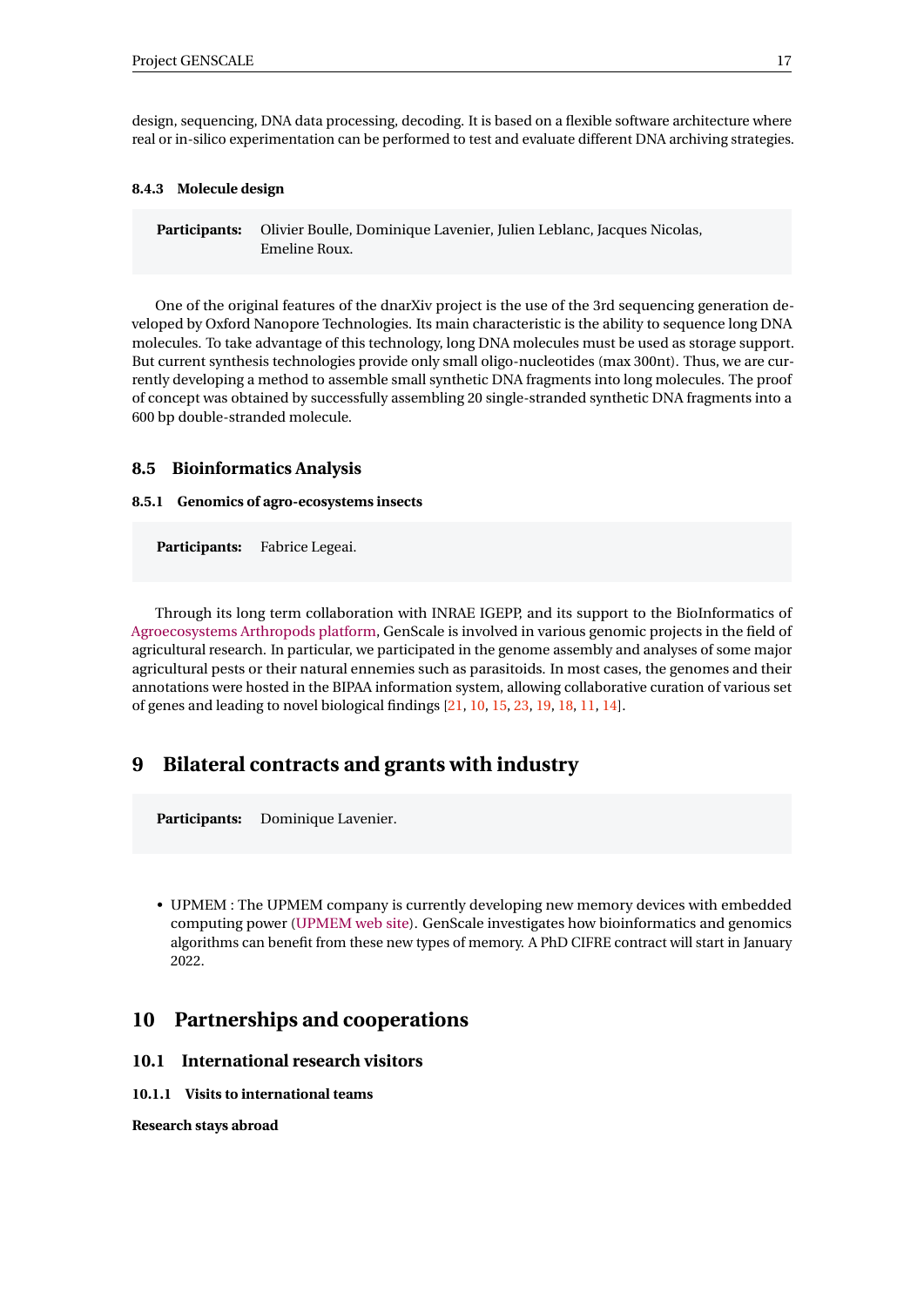design, sequencing, DNA data processing, decoding. It is based on a flexible software architecture where real or in-silico experimentation can be performed to test and evaluate different DNA archiving strategies.

#### <span id="page-19-0"></span>**8.4.3 Molecule design**

**Participants:** Olivier Boulle, Dominique Lavenier, Julien Leblanc, Jacques Nicolas, Emeline Roux.

One of the original features of the dnarXiv project is the use of the 3rd sequencing generation developed by Oxford Nanopore Technologies. Its main characteristic is the ability to sequence long DNA molecules. To take advantage of this technology, long DNA molecules must be used as storage support. But current synthesis technologies provide only small oligo-nucleotides (max 300nt). Thus, we are currently developing a method to assemble small synthetic DNA fragments into long molecules. The proof of concept was obtained by successfully assembling 20 single-stranded synthetic DNA fragments into a 600 bp double-stranded molecule.

#### <span id="page-19-1"></span>**8.5 Bioinformatics Analysis**

#### <span id="page-19-2"></span>**8.5.1 Genomics of agro-ecosystems insects**

**Participants:** Fabrice Legeai.

Through its long term collaboration with INRAE IGEPP, and its support to the BioInformatics of [Agroecosystems Arthropods platform,](http://bipaa.genouest.org) GenScale is involved in various genomic projects in the field of agricultural research. In particular, we participated in the genome assembly and analyses of some major agricultural pests or their natural ennemies such as parasitoids. In most cases, the genomes and their annotations were hosted in the BIPAA information system, allowing collaborative curation of various set of genes and leading to novel biological findings [\[21,](#page-28-6) [10,](#page-27-13) [15,](#page-28-7) [23,](#page-29-8) [19,](#page-28-8) [18,](#page-28-9) [11,](#page-28-10) [14\]](#page-28-11).

## <span id="page-19-3"></span>**9 Bilateral contracts and grants with industry**

**Participants:** Dominique Lavenier.

• UPMEM : The UPMEM company is currently developing new memory devices with embedded computing power [\(UPMEM web site\)](http://www.upmem.com/). GenScale investigates how bioinformatics and genomics algorithms can benefit from these new types of memory. A PhD CIFRE contract will start in January 2022.

## <span id="page-19-4"></span>**10 Partnerships and cooperations**

#### <span id="page-19-5"></span>**10.1 International research visitors**

<span id="page-19-6"></span>**10.1.1 Visits to international teams**

**Research stays abroad**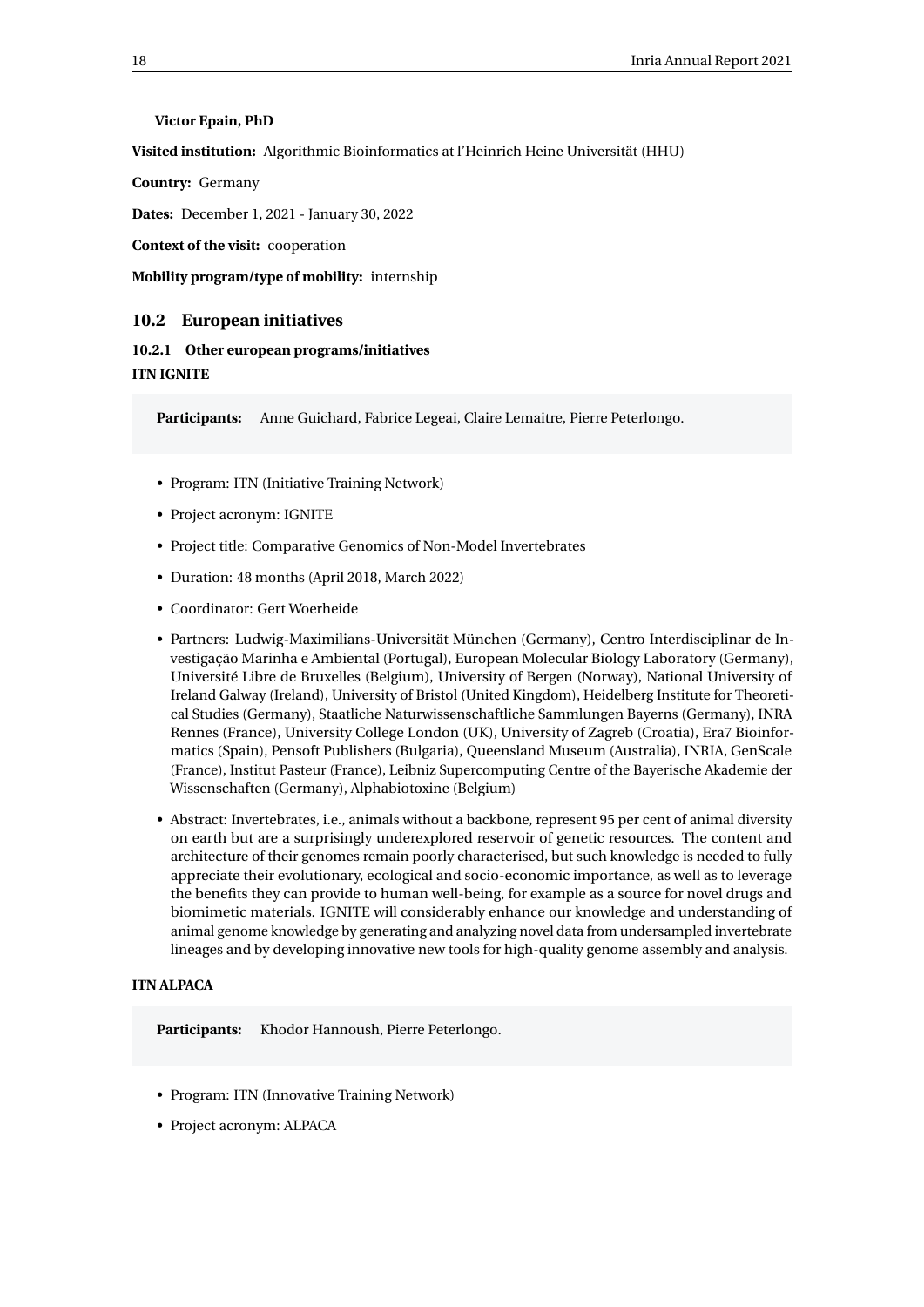#### **Victor Epain, PhD**

**Visited institution:** Algorithmic Bioinformatics at l'Heinrich Heine Universität (HHU)

**Country:** Germany

**Dates:** December 1, 2021 - January 30, 2022

**Context of the visit:** cooperation

**Mobility program/type of mobility:** internship

#### <span id="page-20-0"></span>**10.2 European initiatives**

<span id="page-20-1"></span>**10.2.1 Other european programs/initiatives ITN IGNITE**

**Participants:** Anne Guichard, Fabrice Legeai, Claire Lemaitre, Pierre Peterlongo.

- Program: ITN (Initiative Training Network)
- Project acronym: IGNITE
- Project title: Comparative Genomics of Non-Model Invertebrates
- Duration: 48 months (April 2018, March 2022)
- Coordinator: Gert Woerheide
- Partners: Ludwig-Maximilians-Universität München (Germany), Centro Interdisciplinar de Investigação Marinha e Ambiental (Portugal), European Molecular Biology Laboratory (Germany), Université Libre de Bruxelles (Belgium), University of Bergen (Norway), National University of Ireland Galway (Ireland), University of Bristol (United Kingdom), Heidelberg Institute for Theoretical Studies (Germany), Staatliche Naturwissenschaftliche Sammlungen Bayerns (Germany), INRA Rennes (France), University College London (UK), University of Zagreb (Croatia), Era7 Bioinformatics (Spain), Pensoft Publishers (Bulgaria), Queensland Museum (Australia), INRIA, GenScale (France), Institut Pasteur (France), Leibniz Supercomputing Centre of the Bayerische Akademie der Wissenschaften (Germany), Alphabiotoxine (Belgium)
- Abstract: Invertebrates, i.e., animals without a backbone, represent 95 per cent of animal diversity on earth but are a surprisingly underexplored reservoir of genetic resources. The content and architecture of their genomes remain poorly characterised, but such knowledge is needed to fully appreciate their evolutionary, ecological and socio-economic importance, as well as to leverage the benefits they can provide to human well-being, for example as a source for novel drugs and biomimetic materials. IGNITE will considerably enhance our knowledge and understanding of animal genome knowledge by generating and analyzing novel data from undersampled invertebrate lineages and by developing innovative new tools for high-quality genome assembly and analysis.

#### **ITN ALPACA**

**Participants:** Khodor Hannoush, Pierre Peterlongo.

- Program: ITN (Innovative Training Network)
- Project acronym: ALPACA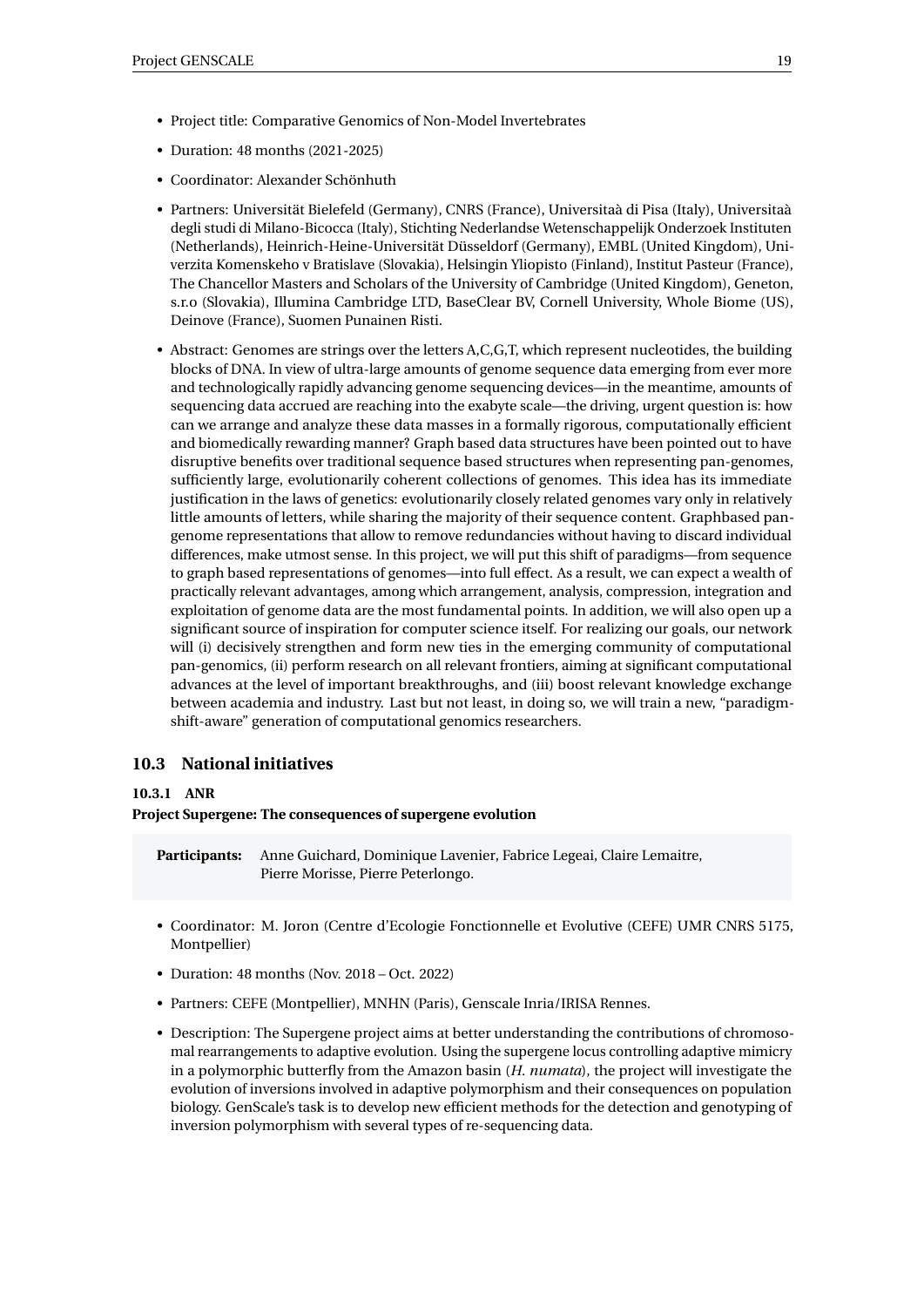- Project title: Comparative Genomics of Non-Model Invertebrates
- Duration: 48 months (2021-2025)
- Coordinator: Alexander Schönhuth
- Partners: Universität Bielefeld (Germany), CNRS (France), Universitaà di Pisa (Italy), Universitaà degli studi di Milano-Bicocca (Italy), Stichting Nederlandse Wetenschappelijk Onderzoek Instituten (Netherlands), Heinrich-Heine-Universität Düsseldorf (Germany), EMBL (United Kingdom), Univerzita Komenskeho v Bratislave (Slovakia), Helsingin Yliopisto (Finland), Institut Pasteur (France), The Chancellor Masters and Scholars of the University of Cambridge (United Kingdom), Geneton, s.r.o (Slovakia), Illumina Cambridge LTD, BaseClear BV, Cornell University, Whole Biome (US), Deinove (France), Suomen Punainen Risti.
- Abstract: Genomes are strings over the letters A,C,G,T, which represent nucleotides, the building blocks of DNA. In view of ultra-large amounts of genome sequence data emerging from ever more and technologically rapidly advancing genome sequencing devices—in the meantime, amounts of sequencing data accrued are reaching into the exabyte scale—the driving, urgent question is: how can we arrange and analyze these data masses in a formally rigorous, computationally efficient and biomedically rewarding manner? Graph based data structures have been pointed out to have disruptive benefits over traditional sequence based structures when representing pan-genomes, sufficiently large, evolutionarily coherent collections of genomes. This idea has its immediate justification in the laws of genetics: evolutionarily closely related genomes vary only in relatively little amounts of letters, while sharing the majority of their sequence content. Graphbased pangenome representations that allow to remove redundancies without having to discard individual differences, make utmost sense. In this project, we will put this shift of paradigms—from sequence to graph based representations of genomes—into full effect. As a result, we can expect a wealth of practically relevant advantages, among which arrangement, analysis, compression, integration and exploitation of genome data are the most fundamental points. In addition, we will also open up a significant source of inspiration for computer science itself. For realizing our goals, our network will (i) decisively strengthen and form new ties in the emerging community of computational pan-genomics, (ii) perform research on all relevant frontiers, aiming at significant computational advances at the level of important breakthroughs, and (iii) boost relevant knowledge exchange between academia and industry. Last but not least, in doing so, we will train a new, "paradigmshift-aware" generation of computational genomics researchers.

#### <span id="page-21-0"></span>**10.3 National initiatives**

#### <span id="page-21-1"></span>**10.3.1 ANR**

**Project Supergene: The consequences of supergene evolution**

- **Participants:** Anne Guichard, Dominique Lavenier, Fabrice Legeai, Claire Lemaitre, Pierre Morisse, Pierre Peterlongo.
- Coordinator: M. Joron (Centre d'Ecologie Fonctionnelle et Evolutive (CEFE) UMR CNRS 5175, Montpellier)
- Duration: 48 months (Nov. 2018 Oct. 2022)
- Partners: CEFE (Montpellier), MNHN (Paris), Genscale Inria/IRISA Rennes.
- Description: The Supergene project aims at better understanding the contributions of chromosomal rearrangements to adaptive evolution. Using the supergene locus controlling adaptive mimicry in a polymorphic butterfly from the Amazon basin (*H. numata*), the project will investigate the evolution of inversions involved in adaptive polymorphism and their consequences on population biology. GenScale's task is to develop new efficient methods for the detection and genotyping of inversion polymorphism with several types of re-sequencing data.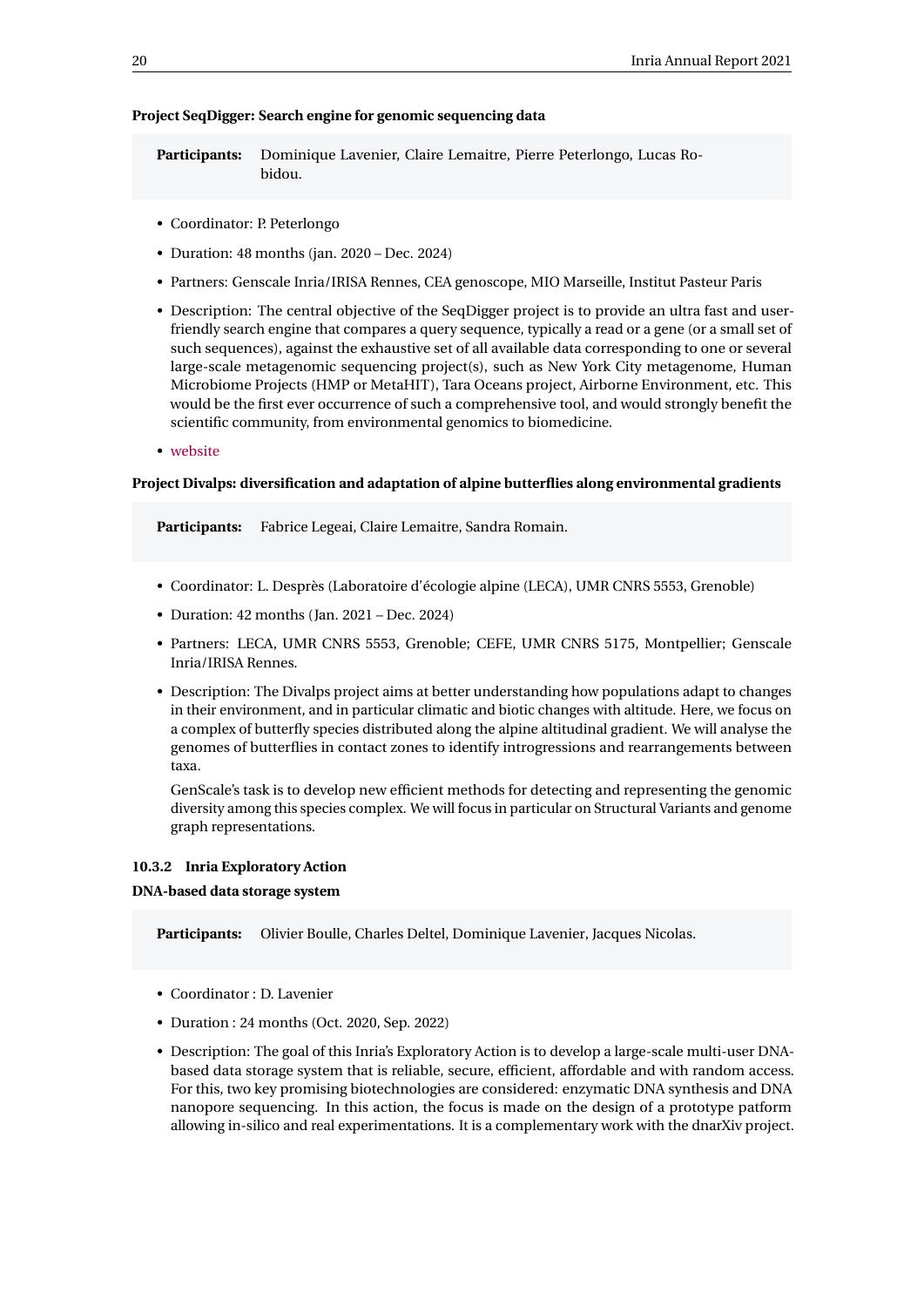#### **Project SeqDigger: Search engine for genomic sequencing data**

**Participants:** Dominique Lavenier, Claire Lemaitre, Pierre Peterlongo, Lucas Robidou.

- Coordinator: P. Peterlongo
- Duration: 48 months (jan. 2020 Dec. 2024)
- Partners: Genscale Inria/IRISA Rennes, CEA genoscope, MIO Marseille, Institut Pasteur Paris
- Description: The central objective of the SeqDigger project is to provide an ultra fast and userfriendly search engine that compares a query sequence, typically a read or a gene (or a small set of such sequences), against the exhaustive set of all available data corresponding to one or several large-scale metagenomic sequencing project(s), such as New York City metagenome, Human Microbiome Projects (HMP or MetaHIT), Tara Oceans project, Airborne Environment, etc. This would be the first ever occurrence of such a comprehensive tool, and would strongly benefit the scientific community, from environmental genomics to biomedicine.
- [website](https://www.cesgo.org/seqdigger/)

#### **Project Divalps: diversification and adaptation of alpine butterflies along environmental gradients**

**Participants:** Fabrice Legeai, Claire Lemaitre, Sandra Romain.

- Coordinator: L. Desprès (Laboratoire d'écologie alpine (LECA), UMR CNRS 5553, Grenoble)
- Duration: 42 months (Jan. 2021 Dec. 2024)
- Partners: LECA, UMR CNRS 5553, Grenoble; CEFE, UMR CNRS 5175, Montpellier; Genscale Inria/IRISA Rennes.
- Description: The Divalps project aims at better understanding how populations adapt to changes in their environment, and in particular climatic and biotic changes with altitude. Here, we focus on a complex of butterfly species distributed along the alpine altitudinal gradient. We will analyse the genomes of butterflies in contact zones to identify introgressions and rearrangements between taxa.

GenScale's task is to develop new efficient methods for detecting and representing the genomic diversity among this species complex. We will focus in particular on Structural Variants and genome graph representations.

#### <span id="page-22-0"></span>**10.3.2 Inria Exploratory Action**

#### **DNA-based data storage system**

**Participants:** Olivier Boulle, Charles Deltel, Dominique Lavenier, Jacques Nicolas.

- Coordinator : D. Lavenier
- Duration : 24 months (Oct. 2020, Sep. 2022)
- Description: The goal of this Inria's Exploratory Action is to develop a large-scale multi-user DNAbased data storage system that is reliable, secure, efficient, affordable and with random access. For this, two key promising biotechnologies are considered: enzymatic DNA synthesis and DNA nanopore sequencing. In this action, the focus is made on the design of a prototype patform allowing in-silico and real experimentations. It is a complementary work with the dnarXiv project.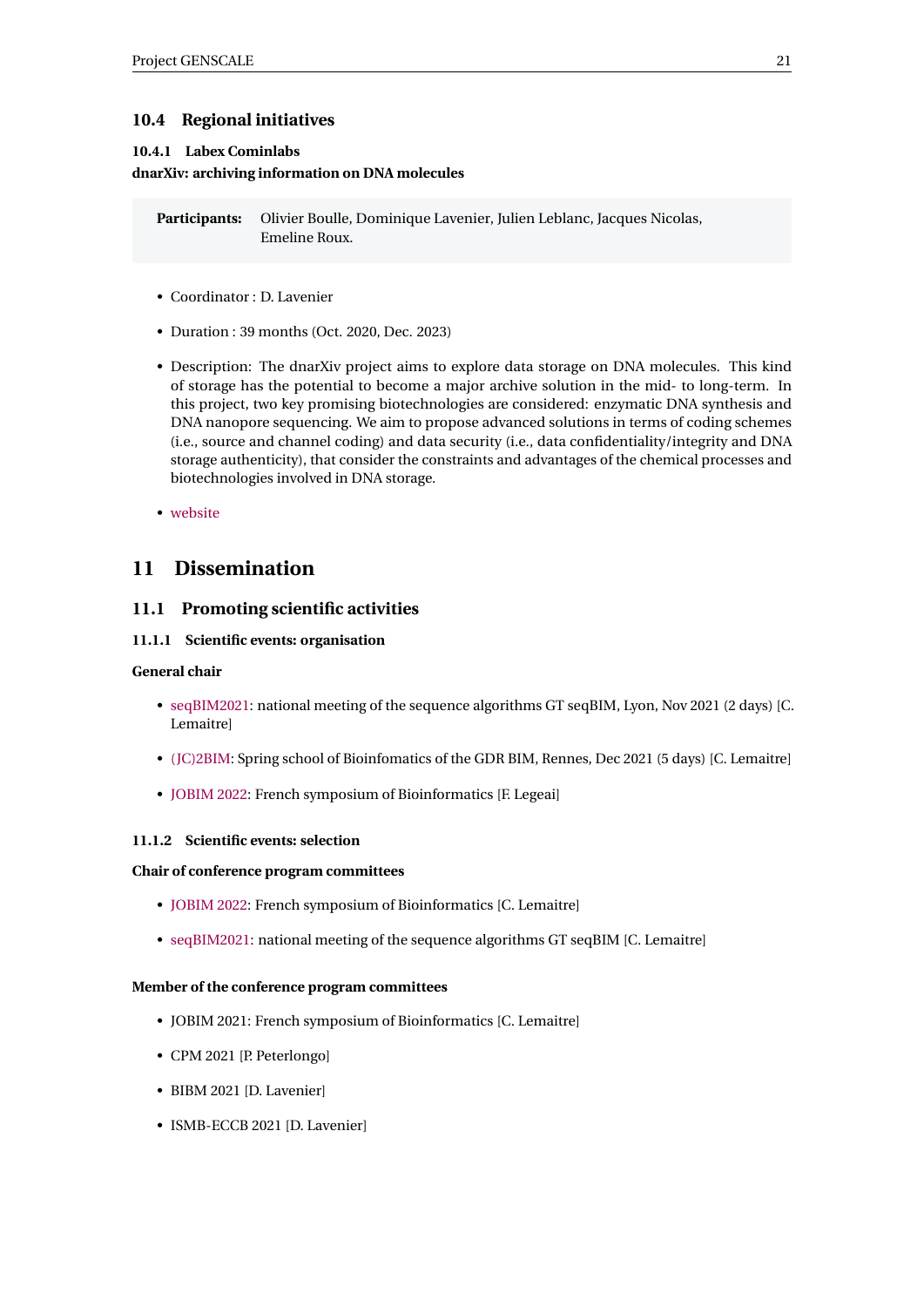## <span id="page-23-0"></span>**10.4 Regional initiatives**

#### <span id="page-23-1"></span>**10.4.1 Labex Cominlabs**

#### **dnarXiv: archiving information on DNA molecules**

**Participants:** Olivier Boulle, Dominique Lavenier, Julien Leblanc, Jacques Nicolas, Emeline Roux.

- Coordinator : D. Lavenier
- Duration : 39 months (Oct. 2020, Dec. 2023)
- Description: The dnarXiv project aims to explore data storage on DNA molecules. This kind of storage has the potential to become a major archive solution in the mid- to long-term. In this project, two key promising biotechnologies are considered: enzymatic DNA synthesis and DNA nanopore sequencing. We aim to propose advanced solutions in terms of coding schemes (i.e., source and channel coding) and data security (i.e., data confidentiality/integrity and DNA storage authenticity), that consider the constraints and advantages of the chemical processes and biotechnologies involved in DNA storage.
- [website](https://project.inria.fr/dnarxiv/)

## <span id="page-23-2"></span>**11 Dissemination**

#### <span id="page-23-3"></span>**11.1 Promoting scientific activities**

#### <span id="page-23-4"></span>**11.1.1 Scientific events: organisation**

#### **General chair**

- [seqBIM2021:](https://seqbim.cnrs.fr/seqbim-2021/) national meeting of the sequence algorithms GT seqBIM, Lyon, Nov 2021 (2 days) [C. Lemaitre]
- [\(JC\)2BIM:](https://www.gdr-bim.cnrs.fr/ecole-jc2bim/) Spring school of Bioinfomatics of the GDR BIM, Rennes, Dec 2021 (5 days) [C. Lemaitre]
- [JOBIM 2022:](https://jobim2022.sciencesconf.org/) French symposium of Bioinformatics [F. Legeai]

#### <span id="page-23-5"></span>**11.1.2 Scientific events: selection**

#### **Chair of conference program committees**

- [JOBIM 2022:](https://jobim2022.sciencesconf.org/) French symposium of Bioinformatics [C. Lemaitre]
- [seqBIM2021:](https://seqbim.cnrs.fr/seqbim-2021/) national meeting of the sequence algorithms GT seqBIM [C. Lemaitre]

#### **Member of the conference program committees**

- JOBIM 2021: French symposium of Bioinformatics [C. Lemaitre]
- CPM 2021 [P. Peterlongo]
- BIBM 2021 [D. Lavenier]
- ISMB-ECCB 2021 [D. Lavenier]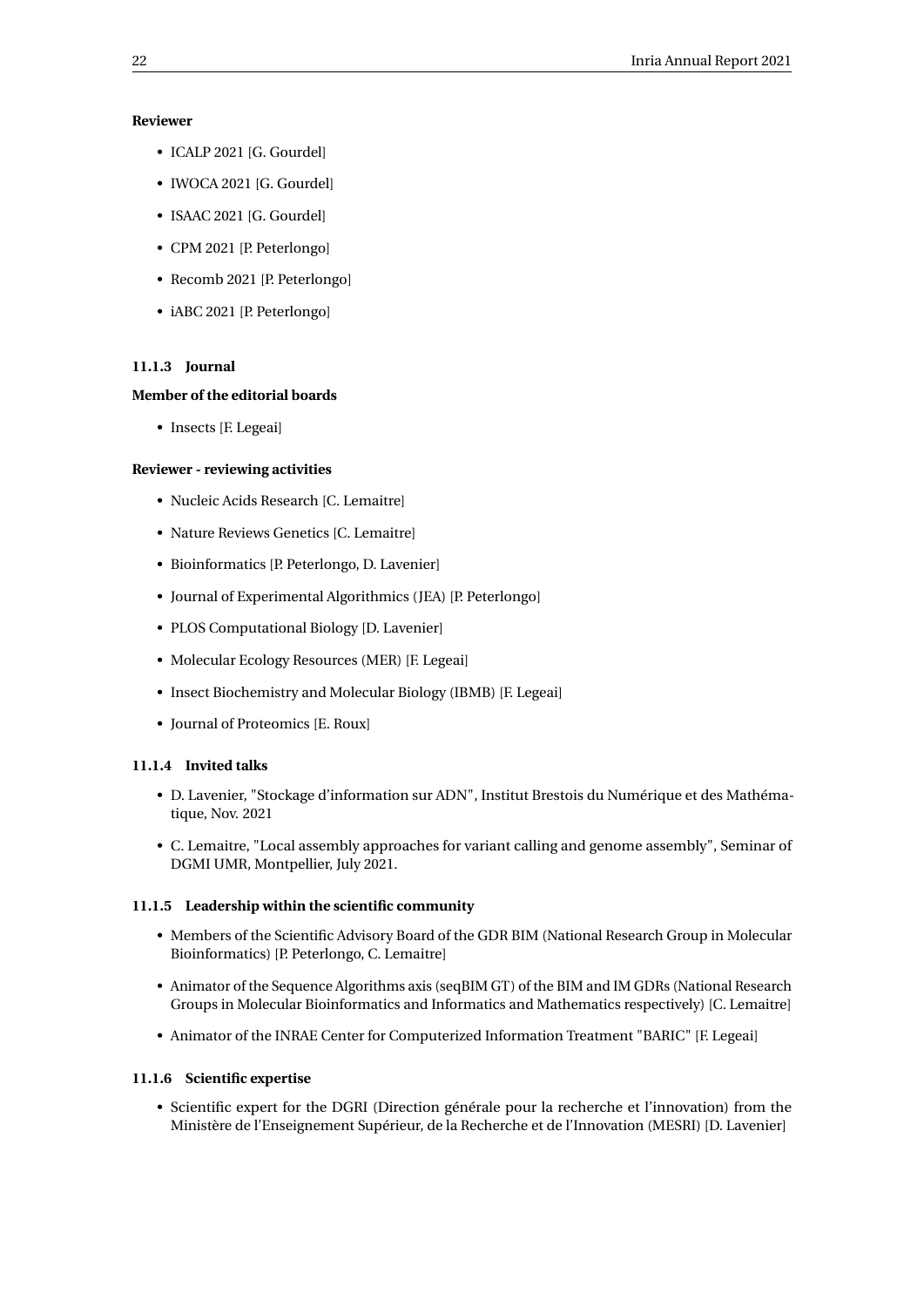#### **Reviewer**

- ICALP 2021 [G. Gourdel]
- IWOCA 2021 [G. Gourdel]
- ISAAC 2021 [G. Gourdel]
- CPM 2021 [P. Peterlongo]
- Recomb 2021 [P. Peterlongo]
- iABC 2021 [P. Peterlongo]

#### <span id="page-24-0"></span>**11.1.3 Journal**

#### **Member of the editorial boards**

• Insects [F. Legeai]

#### **Reviewer - reviewing activities**

- Nucleic Acids Research [C. Lemaitre]
- Nature Reviews Genetics [C. Lemaitre]
- Bioinformatics [P. Peterlongo, D. Lavenier]
- Journal of Experimental Algorithmics (JEA) [P. Peterlongo]
- PLOS Computational Biology [D. Lavenier]
- Molecular Ecology Resources (MER) [F. Legeai]
- Insect Biochemistry and Molecular Biology (IBMB) [F. Legeai]
- Journal of Proteomics [E. Roux]

#### <span id="page-24-1"></span>**11.1.4 Invited talks**

- D. Lavenier, "Stockage d'information sur ADN", Institut Brestois du Numérique et des Mathématique, Nov. 2021
- C. Lemaitre, "Local assembly approaches for variant calling and genome assembly", Seminar of DGMI UMR, Montpellier, July 2021.

#### <span id="page-24-2"></span>**11.1.5 Leadership within the scientific community**

- Members of the Scientific Advisory Board of the GDR BIM (National Research Group in Molecular Bioinformatics) [P. Peterlongo, C. Lemaitre]
- Animator of the Sequence Algorithms axis (seqBIM GT) of the BIM and IM GDRs (National Research Groups in Molecular Bioinformatics and Informatics and Mathematics respectively) [C. Lemaitre]
- Animator of the INRAE Center for Computerized Information Treatment "BARIC" [F. Legeai]

#### <span id="page-24-3"></span>**11.1.6 Scientific expertise**

• Scientific expert for the DGRI (Direction générale pour la recherche et l'innovation) from the Ministère de l'Enseignement Supérieur, de la Recherche et de l'Innovation (MESRI) [D. Lavenier]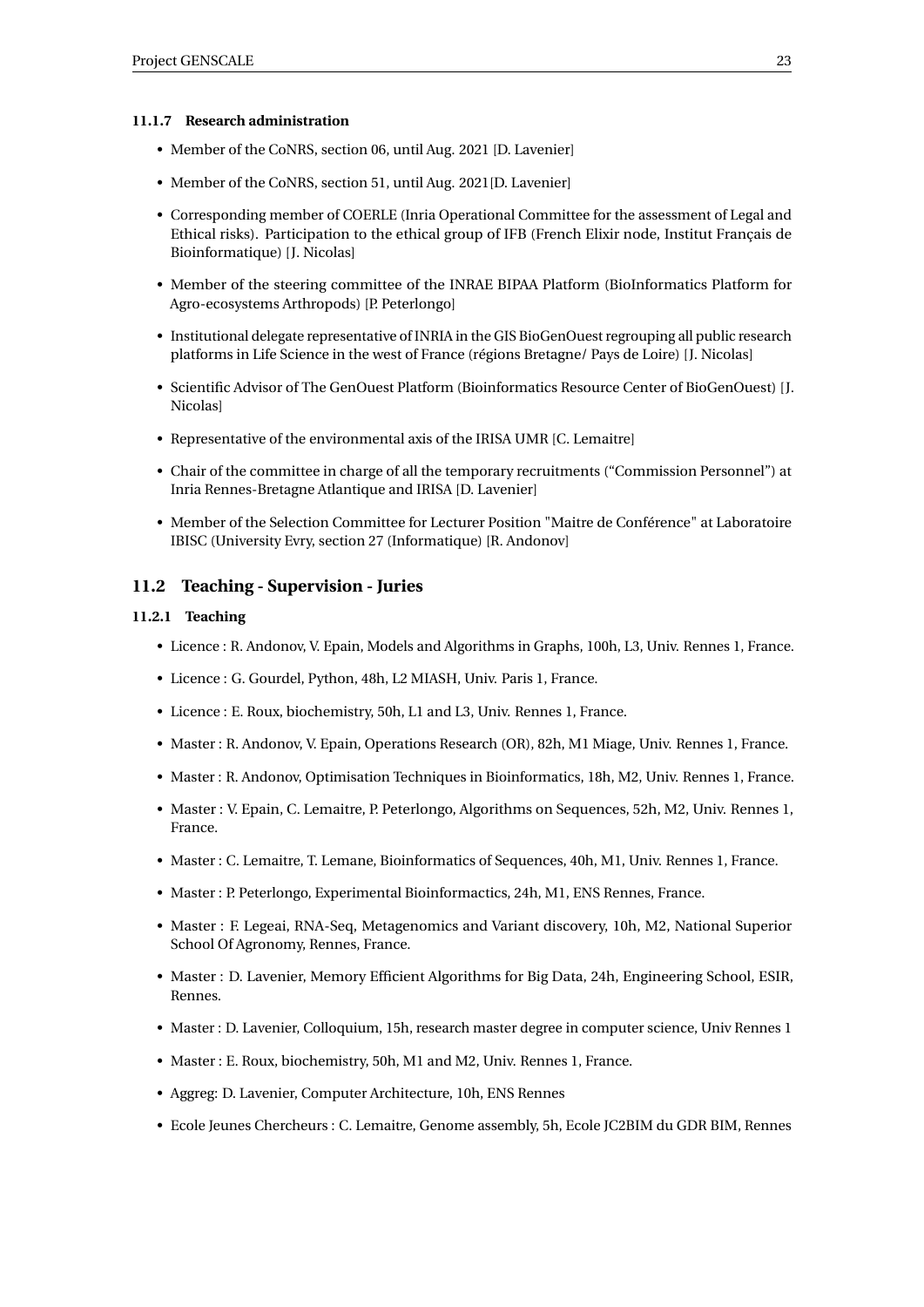#### <span id="page-25-0"></span>**11.1.7 Research administration**

- Member of the CoNRS, section 06, until Aug. 2021 [D. Lavenier]
- Member of the CoNRS, section 51, until Aug. 2021[D. Lavenier]
- Corresponding member of COERLE (Inria Operational Committee for the assessment of Legal and Ethical risks). Participation to the ethical group of IFB (French Elixir node, Institut Français de Bioinformatique) [J. Nicolas]
- Member of the steering committee of the INRAE BIPAA Platform (BioInformatics Platform for Agro-ecosystems Arthropods) [P. Peterlongo]
- Institutional delegate representative of INRIA in the GIS BioGenOuest regrouping all public research platforms in Life Science in the west of France (régions Bretagne/ Pays de Loire) [J. Nicolas]
- Scientific Advisor of The GenOuest Platform (Bioinformatics Resource Center of BioGenOuest) [J. Nicolas]
- Representative of the environmental axis of the IRISA UMR [C. Lemaitre]
- Chair of the committee in charge of all the temporary recruitments ("Commission Personnel") at Inria Rennes-Bretagne Atlantique and IRISA [D. Lavenier]
- Member of the Selection Committee for Lecturer Position "Maitre de Conférence" at Laboratoire IBISC (University Evry, section 27 (Informatique) [R. Andonov]

#### <span id="page-25-1"></span>**11.2 Teaching - Supervision - Juries**

#### <span id="page-25-2"></span>**11.2.1 Teaching**

- Licence : R. Andonov, V. Epain, Models and Algorithms in Graphs, 100h, L3, Univ. Rennes 1, France.
- Licence : G. Gourdel, Python, 48h, L2 MIASH, Univ. Paris 1, France.
- Licence : E. Roux, biochemistry, 50h, L1 and L3, Univ. Rennes 1, France.
- Master : R. Andonov, V. Epain, Operations Research (OR), 82h, M1 Miage, Univ. Rennes 1, France.
- Master : R. Andonov, Optimisation Techniques in Bioinformatics, 18h, M2, Univ. Rennes 1, France.
- Master : V. Epain, C. Lemaitre, P. Peterlongo, Algorithms on Sequences, 52h, M2, Univ. Rennes 1, France.
- Master : C. Lemaitre, T. Lemane, Bioinformatics of Sequences, 40h, M1, Univ. Rennes 1, France.
- Master : P. Peterlongo, Experimental Bioinformactics, 24h, M1, ENS Rennes, France.
- Master : F. Legeai, RNA-Seq, Metagenomics and Variant discovery, 10h, M2, National Superior School Of Agronomy, Rennes, France.
- Master : D. Lavenier, Memory Efficient Algorithms for Big Data, 24h, Engineering School, ESIR, Rennes.
- Master : D. Lavenier, Colloquium, 15h, research master degree in computer science, Univ Rennes 1
- Master : E. Roux, biochemistry, 50h, M1 and M2, Univ. Rennes 1, France.
- Aggreg: D. Lavenier, Computer Architecture, 10h, ENS Rennes
- Ecole Jeunes Chercheurs : C. Lemaitre, Genome assembly, 5h, Ecole JC2BIM du GDR BIM, Rennes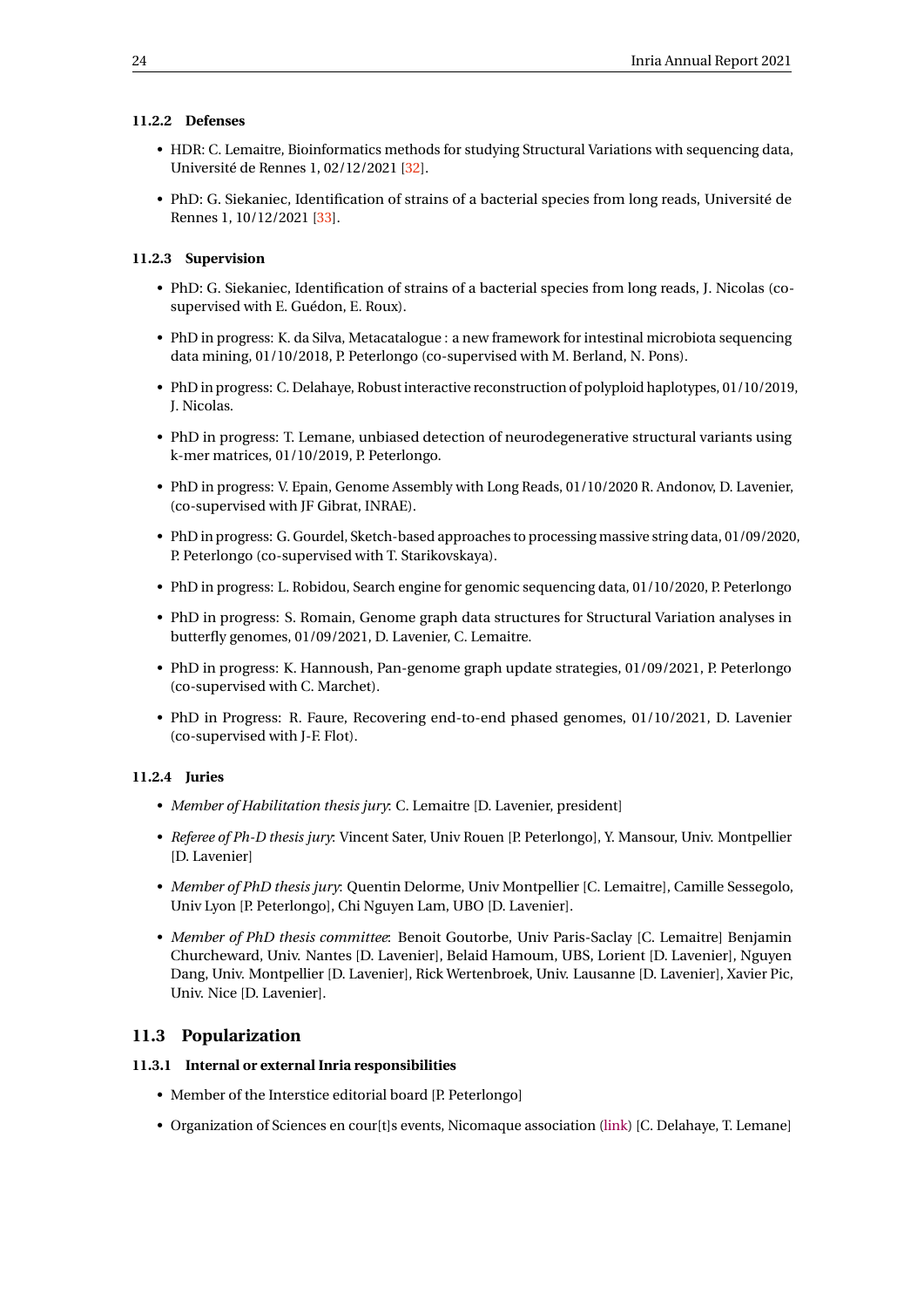#### <span id="page-26-0"></span>**11.2.2 Defenses**

- HDR: C. Lemaitre, Bioinformatics methods for studying Structural Variations with sequencing data, Université de Rennes 1, 02/12/2021 [\[32\]](#page-29-9).
- PhD: G. Siekaniec, Identification of strains of a bacterial species from long reads, Université de Rennes 1, 10/12/2021 [\[33\]](#page-29-10).

#### <span id="page-26-1"></span>**11.2.3 Supervision**

- PhD: G. Siekaniec, Identification of strains of a bacterial species from long reads, J. Nicolas (cosupervised with E. Guédon, E. Roux).
- PhD in progress: K. da Silva, Metacatalogue : a new framework for intestinal microbiota sequencing data mining, 01/10/2018, P. Peterlongo (co-supervised with M. Berland, N. Pons).
- PhD in progress: C. Delahaye, Robust interactive reconstruction of polyploid haplotypes, 01/10/2019, J. Nicolas.
- PhD in progress: T. Lemane, unbiased detection of neurodegenerative structural variants using k-mer matrices, 01/10/2019, P. Peterlongo.
- PhD in progress: V. Epain, Genome Assembly with Long Reads, 01/10/2020 R. Andonov, D. Lavenier, (co-supervised with JF Gibrat, INRAE).
- PhD in progress: G. Gourdel, Sketch-based approaches to processing massive string data, 01/09/2020, P. Peterlongo (co-supervised with T. Starikovskaya).
- PhD in progress: L. Robidou, Search engine for genomic sequencing data, 01/10/2020, P. Peterlongo
- PhD in progress: S. Romain, Genome graph data structures for Structural Variation analyses in butterfly genomes, 01/09/2021, D. Lavenier, C. Lemaitre.
- PhD in progress: K. Hannoush, Pan-genome graph update strategies, 01/09/2021, P. Peterlongo (co-supervised with C. Marchet).
- PhD in Progress: R. Faure, Recovering end-to-end phased genomes, 01/10/2021, D. Lavenier (co-supervised with J-F. Flot).

#### <span id="page-26-2"></span>**11.2.4 Juries**

- *Member of Habilitation thesis jury*: C. Lemaitre [D. Lavenier, president]
- *Referee of Ph-D thesis jury*: Vincent Sater, Univ Rouen [P. Peterlongo], Y. Mansour, Univ. Montpellier [D. Lavenier]
- *Member of PhD thesis jury*: Quentin Delorme, Univ Montpellier [C. Lemaitre], Camille Sessegolo, Univ Lyon [P. Peterlongo], Chi Nguyen Lam, UBO [D. Lavenier].
- *Member of PhD thesis committee*: Benoit Goutorbe, Univ Paris-Saclay [C. Lemaitre] Benjamin Churcheward, Univ. Nantes [D. Lavenier], Belaid Hamoum, UBS, Lorient [D. Lavenier], Nguyen Dang, Univ. Montpellier [D. Lavenier], Rick Wertenbroek, Univ. Lausanne [D. Lavenier], Xavier Pic, Univ. Nice [D. Lavenier].

#### <span id="page-26-3"></span>**11.3 Popularization**

#### <span id="page-26-4"></span>**11.3.1 Internal or external Inria responsibilities**

- Member of the Interstice editorial board [P. Peterlongo]
- Organization of Sciences en cour[t]s events, Nicomaque association [\(link\)](http://sciences-en-courts.fr/) [C. Delahaye, T. Lemane]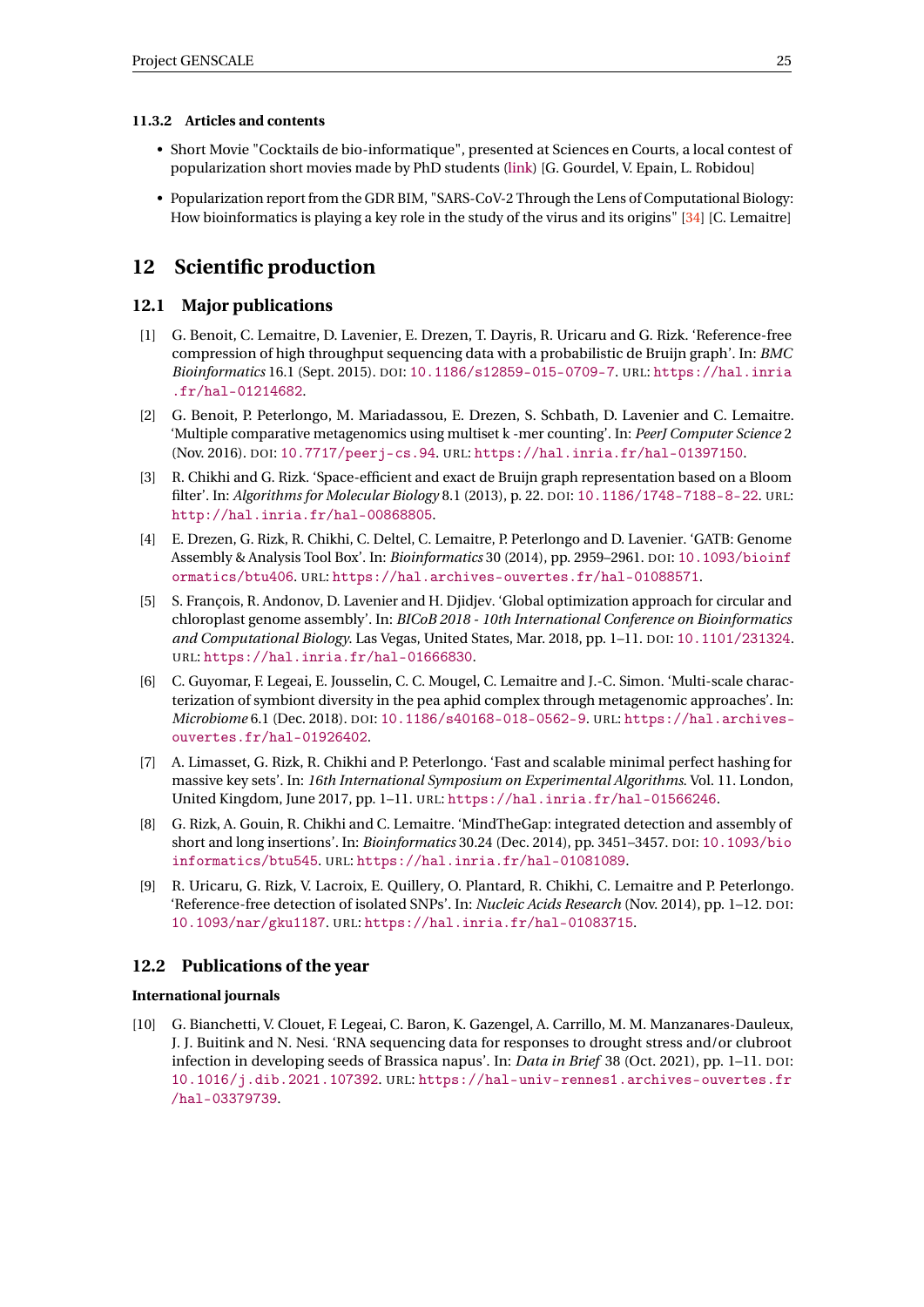#### <span id="page-27-0"></span>**11.3.2 Articles and contents**

- Short Movie "Cocktails de bio-informatique", presented at Sciences en Courts, a local contest of popularization short movies made by PhD students [\(link\)](http://sciences-en-courts.fr/) [G. Gourdel, V. Epain, L. Robidou]
- Popularization report from the GDR BIM, "SARS-CoV-2 Through the Lens of Computational Biology: How bioinformatics is playing a key role in the study of the virus and its origins" [\[34\]](#page-29-11) [C. Lemaitre]

## <span id="page-27-1"></span>**12 Scientific production**

#### <span id="page-27-2"></span>**12.1 Major publications**

- <span id="page-27-7"></span>[1] G. Benoit, C. Lemaitre, D. Lavenier, E. Drezen, T. Dayris, R. Uricaru and G. Rizk. 'Reference-free compression of high throughput sequencing data with a probabilistic de Bruijn graph'. In: *BMC Bioinformatics* 16.1 (Sept. 2015). DOI: [10.1186/s12859-015-0709-7](https://doi.org/10.1186/s12859-015-0709-7). URL: [https://hal.inria](https://hal.inria.fr/hal-01214682) [.fr/hal-01214682](https://hal.inria.fr/hal-01214682).
- <span id="page-27-11"></span>[2] G. Benoit, P. Peterlongo, M. Mariadassou, E. Drezen, S. Schbath, D. Lavenier and C. Lemaitre. 'Multiple comparative metagenomics using multiset k -mer counting'. In: *PeerJ Computer Science* 2 (Nov. 2016). DOI: [10.7717/peerj-cs.94](https://doi.org/10.7717/peerj-cs.94). URL: <https://hal.inria.fr/hal-01397150>.
- <span id="page-27-4"></span>[3] R. Chikhi and G. Rizk. 'Space-efficient and exact de Bruijn graph representation based on a Bloom filter'. In: *Algorithms for Molecular Biology* 8.1 (2013), p. 22. DOI: [10.1186/1748-7188-8-22](https://doi.org/10.1186/1748-7188-8-22). URL: <http://hal.inria.fr/hal-00868805>.
- <span id="page-27-5"></span>[4] E. Drezen, G. Rizk, R. Chikhi, C. Deltel, C. Lemaitre, P. Peterlongo and D. Lavenier. 'GATB: Genome Assembly & Analysis Tool Box'. In: *Bioinformatics* 30 (2014), pp. 2959–2961. DOI: [10.1093/bioinf](https://doi.org/10.1093/bioinformatics/btu406) [ormatics/btu406](https://doi.org/10.1093/bioinformatics/btu406). URL: <https://hal.archives-ouvertes.fr/hal-01088571>.
- <span id="page-27-8"></span>[5] S. François, R. Andonov, D. Lavenier and H. Djidjev. 'Global optimization approach for circular and chloroplast genome assembly'. In: *BICoB 2018 - 10th International Conference on Bioinformatics and Computational Biology*. Las Vegas, United States, Mar. 2018, pp. 1–11. DOI: [10.1101/231324](https://doi.org/10.1101/231324). URL: <https://hal.inria.fr/hal-01666830>.
- <span id="page-27-12"></span>[6] C. Guyomar, F. Legeai, E. Jousselin, C. C. Mougel, C. Lemaitre and J.-C. Simon. 'Multi-scale characterization of symbiont diversity in the pea aphid complex through metagenomic approaches'. In: *Microbiome* 6.1 (Dec. 2018). DOI: [10.1186/s40168-018-0562-9](https://doi.org/10.1186/s40168-018-0562-9). URL: [https://hal.archives](https://hal.archives-ouvertes.fr/hal-01926402)[ouvertes.fr/hal-01926402](https://hal.archives-ouvertes.fr/hal-01926402).
- <span id="page-27-6"></span>[7] A. Limasset, G. Rizk, R. Chikhi and P. Peterlongo. 'Fast and scalable minimal perfect hashing for massive key sets'. In: *16th International Symposium on Experimental Algorithms*. Vol. 11. London, United Kingdom, June 2017, pp. 1–11. URL: <https://hal.inria.fr/hal-01566246>.
- <span id="page-27-10"></span>[8] G. Rizk, A. Gouin, R. Chikhi and C. Lemaitre. 'MindTheGap: integrated detection and assembly of short and long insertions'. In: *Bioinformatics* 30.24 (Dec. 2014), pp. 3451–3457. DOI: [10.1093/bio](https://doi.org/10.1093/bioinformatics/btu545) [informatics/btu545](https://doi.org/10.1093/bioinformatics/btu545). URL: <https://hal.inria.fr/hal-01081089>.
- <span id="page-27-9"></span>[9] R. Uricaru, G. Rizk, V. Lacroix, E. Quillery, O. Plantard, R. Chikhi, C. Lemaitre and P. Peterlongo. 'Reference-free detection of isolated SNPs'. In: *Nucleic Acids Research* (Nov. 2014), pp. 1–12. DOI: [10.1093/nar/gku1187](https://doi.org/10.1093/nar/gku1187). URL: <https://hal.inria.fr/hal-01083715>.

#### <span id="page-27-3"></span>**12.2 Publications of the year**

#### **International journals**

<span id="page-27-13"></span>[10] G. Bianchetti, V. Clouet, F. Legeai, C. Baron, K. Gazengel, A. Carrillo, M. M. Manzanares-Dauleux, J. J. Buitink and N. Nesi. 'RNA sequencing data for responses to drought stress and/or clubroot infection in developing seeds of Brassica napus'. In: *Data in Brief* 38 (Oct. 2021), pp. 1–11. DOI: [10.1016/j.dib.2021.107392](https://doi.org/10.1016/j.dib.2021.107392). URL: [https://hal-univ-rennes1.archives-ouvertes.fr](https://hal-univ-rennes1.archives-ouvertes.fr/hal-03379739) [/hal-03379739](https://hal-univ-rennes1.archives-ouvertes.fr/hal-03379739).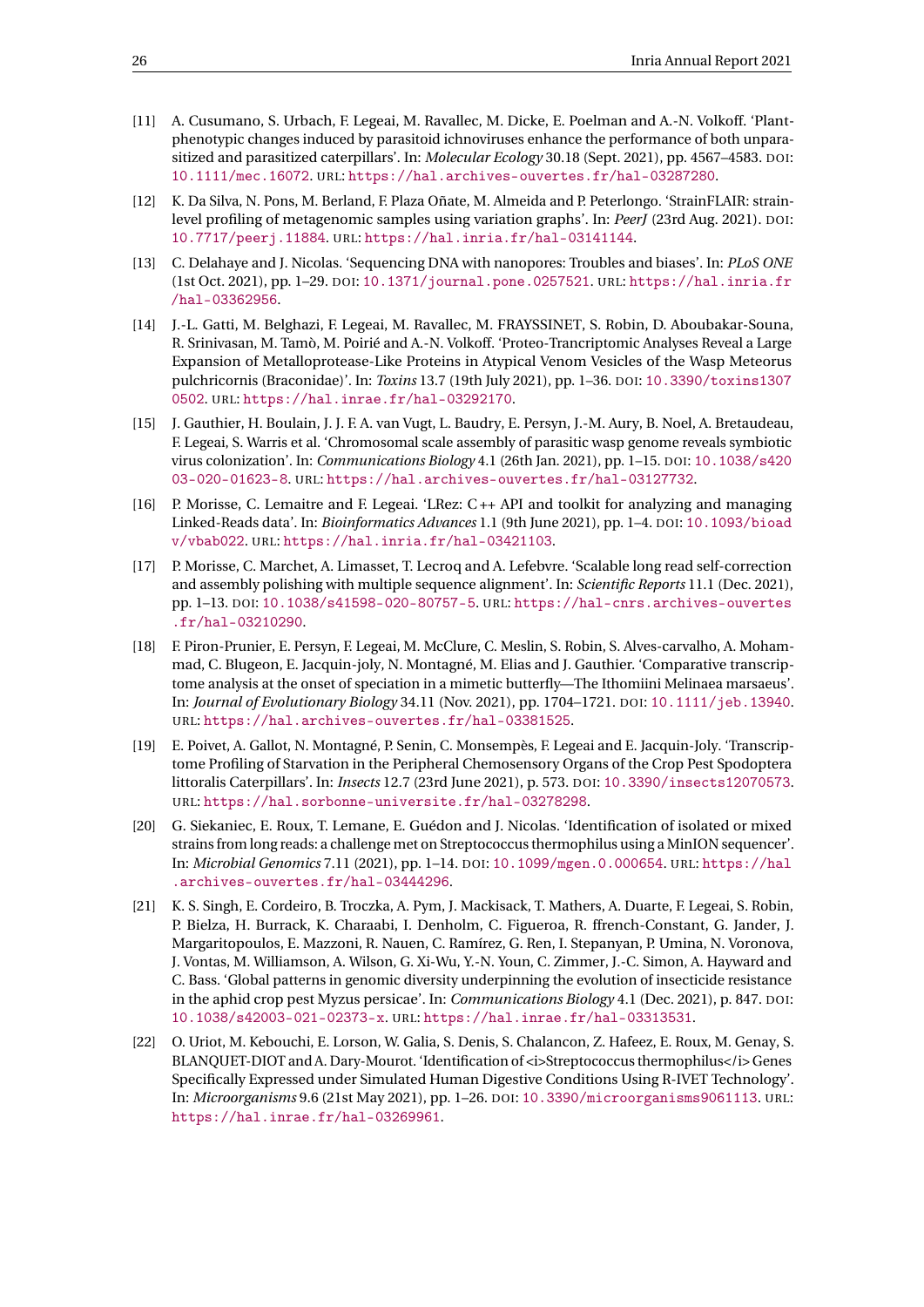- <span id="page-28-10"></span>[11] A. Cusumano, S. Urbach, F. Legeai, M. Ravallec, M. Dicke, E. Poelman and A.-N. Volkoff. 'Plantphenotypic changes induced by parasitoid ichnoviruses enhance the performance of both unparasitized and parasitized caterpillars'. In: *Molecular Ecology* 30.18 (Sept. 2021), pp. 4567–4583. DOI: [10.1111/mec.16072](https://doi.org/10.1111/mec.16072). URL: <https://hal.archives-ouvertes.fr/hal-03287280>.
- <span id="page-28-3"></span>[12] K. Da Silva, N. Pons, M. Berland, F. Plaza Oñate, M. Almeida and P. Peterlongo. 'StrainFLAIR: strainlevel profiling of metagenomic samples using variation graphs'. In: *PeerJ* (23rd Aug. 2021). DOI: [10.7717/peerj.11884](https://doi.org/10.7717/peerj.11884). URL: <https://hal.inria.fr/hal-03141144>.
- <span id="page-28-0"></span>[13] C. Delahaye and J. Nicolas. 'Sequencing DNA with nanopores: Troubles and biases'. In: *PLoS ONE* (1st Oct. 2021), pp. 1–29. DOI: [10.1371/journal.pone.0257521](https://doi.org/10.1371/journal.pone.0257521). URL: [https://hal.inria.fr](https://hal.inria.fr/hal-03362956) [/hal-03362956](https://hal.inria.fr/hal-03362956).
- <span id="page-28-11"></span>[14] J.-L. Gatti, M. Belghazi, F. Legeai, M. Ravallec, M. FRAYSSINET, S. Robin, D. Aboubakar-Souna, R. Srinivasan, M. Tamò, M. Poirié and A.-N. Volkoff. 'Proteo-Trancriptomic Analyses Reveal a Large Expansion of Metalloprotease-Like Proteins in Atypical Venom Vesicles of the Wasp Meteorus pulchricornis (Braconidae)'. In: *Toxins* 13.7 (19th July 2021), pp. 1–36. DOI: [10.3390/toxins1307](https://doi.org/10.3390/toxins13070502) [0502](https://doi.org/10.3390/toxins13070502). URL: <https://hal.inrae.fr/hal-03292170>.
- <span id="page-28-7"></span>[15] J. Gauthier, H. Boulain, J. J. F. A. van Vugt, L. Baudry, E. Persyn, J.-M. Aury, B. Noel, A. Bretaudeau, F. Legeai, S. Warris et al. 'Chromosomal scale assembly of parasitic wasp genome reveals symbiotic virus colonization'. In: *Communications Biology* 4.1 (26th Jan. 2021), pp. 1–15. DOI: [10.1038/s420](https://doi.org/10.1038/s42003-020-01623-8) [03-020-01623-8](https://doi.org/10.1038/s42003-020-01623-8). URL: <https://hal.archives-ouvertes.fr/hal-03127732>.
- <span id="page-28-2"></span>[16] P. Morisse, C. Lemaitre and F. Legeai. 'LRez: C ++ API and toolkit for analyzing and managing Linked-Reads data'. In: *Bioinformatics Advances* 1.1 (9th June 2021), pp. 1–4. DOI: [10.1093/bioad](https://doi.org/10.1093/bioadv/vbab022) [v/vbab022](https://doi.org/10.1093/bioadv/vbab022). URL: <https://hal.inria.fr/hal-03421103>.
- <span id="page-28-1"></span>[17] P. Morisse, C. Marchet, A. Limasset, T. Lecroq and A. Lefebvre. 'Scalable long read self-correction and assembly polishing with multiple sequence alignment'. In: *Scientific Reports* 11.1 (Dec. 2021), pp. 1–13. DOI: [10.1038/s41598-020-80757-5](https://doi.org/10.1038/s41598-020-80757-5). URL: [https://hal-cnrs.archives-ouvertes](https://hal-cnrs.archives-ouvertes.fr/hal-03210290) [.fr/hal-03210290](https://hal-cnrs.archives-ouvertes.fr/hal-03210290).
- <span id="page-28-9"></span>[18] F. Piron-Prunier, E. Persyn, F. Legeai, M. McClure, C. Meslin, S. Robin, S. Alves-carvalho, A. Mohammad, C. Blugeon, E. Jacquin-joly, N. Montagné, M. Elias and J. Gauthier. 'Comparative transcriptome analysis at the onset of speciation in a mimetic butterfly—The Ithomiini Melinaea marsaeus'. In: *Journal of Evolutionary Biology* 34.11 (Nov. 2021), pp. 1704–1721. DOI: [10.1111/jeb.13940](https://doi.org/10.1111/jeb.13940). URL: <https://hal.archives-ouvertes.fr/hal-03381525>.
- <span id="page-28-8"></span>[19] E. Poivet, A. Gallot, N. Montagné, P. Senin, C. Monsempès, F. Legeai and E. Jacquin-Joly. 'Transcriptome Profiling of Starvation in the Peripheral Chemosensory Organs of the Crop Pest Spodoptera littoralis Caterpillars'. In: *Insects* 12.7 (23rd June 2021), p. 573. DOI: [10.3390/insects12070573](https://doi.org/10.3390/insects12070573). URL: <https://hal.sorbonne-universite.fr/hal-03278298>.
- <span id="page-28-5"></span>[20] G. Siekaniec, E. Roux, T. Lemane, E. Guédon and J. Nicolas. 'Identification of isolated or mixed strains from long reads: a challenge met on Streptococcus thermophilus using a MinION sequencer'. In: *Microbial Genomics* 7.11 (2021), pp. 1–14. DOI: [10.1099/mgen.0.000654](https://doi.org/10.1099/mgen.0.000654). URL: [https://hal](https://hal.archives-ouvertes.fr/hal-03444296) [.archives-ouvertes.fr/hal-03444296](https://hal.archives-ouvertes.fr/hal-03444296).
- <span id="page-28-6"></span>[21] K. S. Singh, E. Cordeiro, B. Troczka, A. Pym, J. Mackisack, T. Mathers, A. Duarte, F. Legeai, S. Robin, P. Bielza, H. Burrack, K. Charaabi, I. Denholm, C. Figueroa, R. ffrench-Constant, G. Jander, J. Margaritopoulos, E. Mazzoni, R. Nauen, C. Ramírez, G. Ren, I. Stepanyan, P. Umina, N. Voronova, J. Vontas, M. Williamson, A. Wilson, G. Xi-Wu, Y.-N. Youn, C. Zimmer, J.-C. Simon, A. Hayward and C. Bass. 'Global patterns in genomic diversity underpinning the evolution of insecticide resistance in the aphid crop pest Myzus persicae'. In: *Communications Biology* 4.1 (Dec. 2021), p. 847. DOI: [10.1038/s42003-021-02373-x](https://doi.org/10.1038/s42003-021-02373-x). URL: <https://hal.inrae.fr/hal-03313531>.
- <span id="page-28-4"></span>[22] O. Uriot, M. Kebouchi, E. Lorson, W. Galia, S. Denis, S. Chalancon, Z. Hafeez, E. Roux, M. Genay, S. BLANQUET-DIOT and A. Dary-Mourot. 'Identification of <i>Streptococcus thermophilus</i></i> Genes Specifically Expressed under Simulated Human Digestive Conditions Using R-IVET Technology'. In: *Microorganisms* 9.6 (21st May 2021), pp. 1–26. DOI: [10.3390/microorganisms9061113](https://doi.org/10.3390/microorganisms9061113). URL: <https://hal.inrae.fr/hal-03269961>.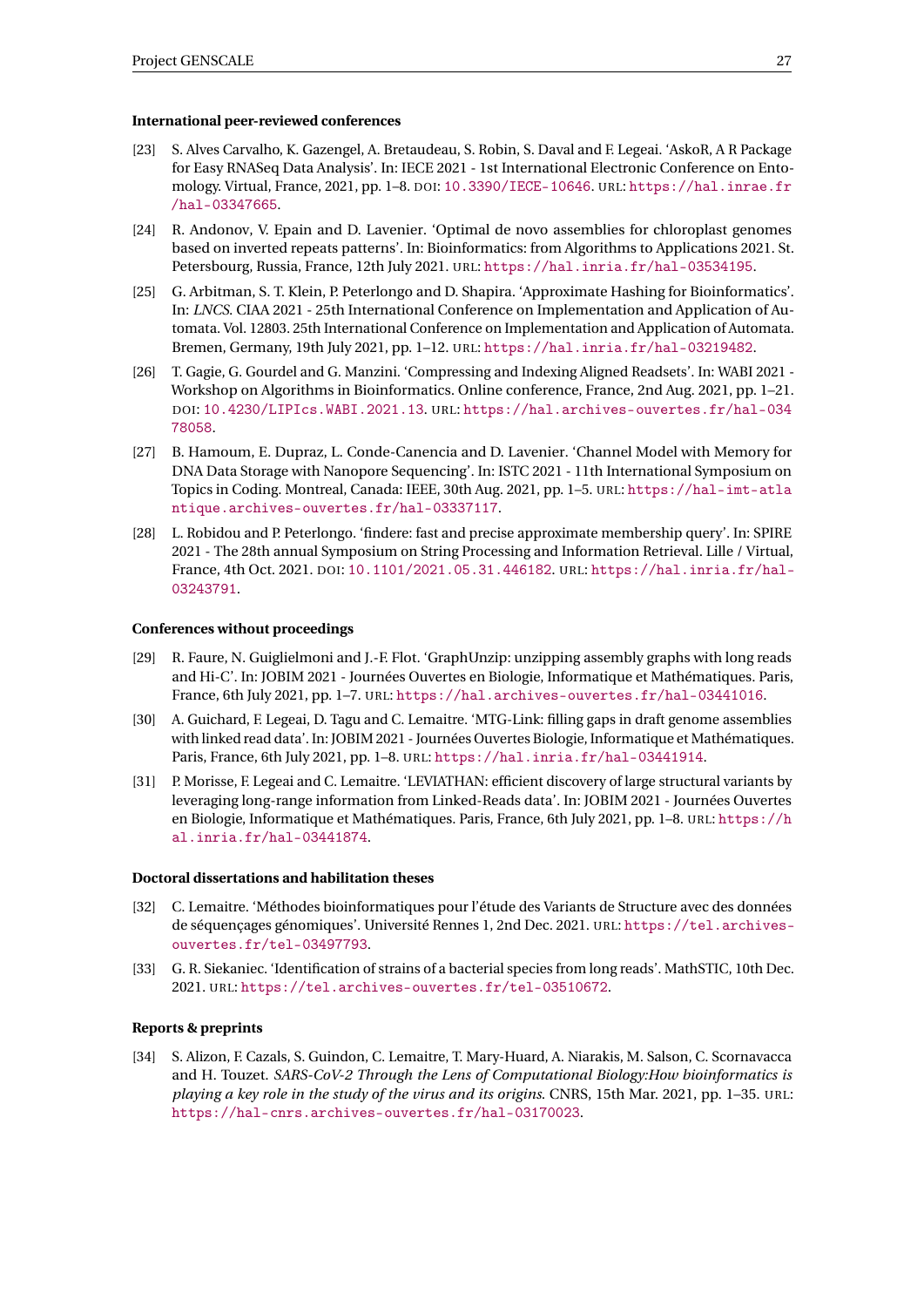#### **International peer-reviewed conferences**

- <span id="page-29-8"></span>[23] S. Alves Carvalho, K. Gazengel, A. Bretaudeau, S. Robin, S. Daval and F. Legeai. 'AskoR, A R Package for Easy RNASeq Data Analysis'. In: IECE 2021 - 1st International Electronic Conference on Entomology. Virtual, France, 2021, pp. 1–8. DOI: [10.3390/IECE-10646](https://doi.org/10.3390/IECE-10646). URL: [https://hal.inrae.fr](https://hal.inrae.fr/hal-03347665) [/hal-03347665](https://hal.inrae.fr/hal-03347665).
- <span id="page-29-3"></span>[24] R. Andonov, V. Epain and D. Lavenier. 'Optimal de novo assemblies for chloroplast genomes based on inverted repeats patterns'. In: Bioinformatics: from Algorithms to Applications 2021. St. Petersbourg, Russia, France, 12th July 2021. URL: <https://hal.inria.fr/hal-03534195>.
- <span id="page-29-6"></span>[25] G. Arbitman, S. T. Klein, P. Peterlongo and D. Shapira. 'Approximate Hashing for Bioinformatics'. In: *LNCS*. CIAA 2021 - 25th International Conference on Implementation and Application of Automata. Vol. 12803. 25th International Conference on Implementation and Application of Automata. Bremen, Germany, 19th July 2021, pp. 1–12. URL: <https://hal.inria.fr/hal-03219482>.
- <span id="page-29-4"></span>[26] T. Gagie, G. Gourdel and G. Manzini. 'Compressing and Indexing Aligned Readsets'. In: WABI 2021 - Workshop on Algorithms in Bioinformatics. Online conference, France, 2nd Aug. 2021, pp. 1–21. DOI: [10.4230/LIPIcs.WABI.2021.13](https://doi.org/10.4230/LIPIcs.WABI.2021.13). URL: [https://hal.archives-ouvertes.fr/hal-034](https://hal.archives-ouvertes.fr/hal-03478058) [78058](https://hal.archives-ouvertes.fr/hal-03478058).
- <span id="page-29-7"></span>[27] B. Hamoum, E. Dupraz, L. Conde-Canencia and D. Lavenier. 'Channel Model with Memory for DNA Data Storage with Nanopore Sequencing'. In: ISTC 2021 - 11th International Symposium on Topics in Coding. Montreal, Canada: IEEE, 30th Aug. 2021, pp. 1–5. URL: [https://hal-imt-atla](https://hal-imt-atlantique.archives-ouvertes.fr/hal-03337117) [ntique.archives-ouvertes.fr/hal-03337117](https://hal-imt-atlantique.archives-ouvertes.fr/hal-03337117).
- <span id="page-29-5"></span>[28] L. Robidou and P. Peterlongo. 'findere: fast and precise approximate membership query'. In: SPIRE 2021 - The 28th annual Symposium on String Processing and Information Retrieval. Lille / Virtual, France, 4th Oct. 2021. DOI: [10.1101/2021.05.31.446182](https://doi.org/10.1101/2021.05.31.446182). URL: [https://hal.inria.fr/hal-](https://hal.inria.fr/hal-03243791)[03243791](https://hal.inria.fr/hal-03243791).

#### **Conferences without proceedings**

- <span id="page-29-2"></span>[29] R. Faure, N. Guiglielmoni and J.-F. Flot. 'GraphUnzip: unzipping assembly graphs with long reads and Hi-C'. In: JOBIM 2021 - Journées Ouvertes en Biologie, Informatique et Mathématiques. Paris, France, 6th July 2021, pp. 1–7. URL: <https://hal.archives-ouvertes.fr/hal-03441016>.
- <span id="page-29-1"></span>[30] A. Guichard, F. Legeai, D. Tagu and C. Lemaitre. 'MTG-Link: filling gaps in draft genome assemblies with linked read data'. In: JOBIM 2021 - Journées Ouvertes Biologie, Informatique et Mathématiques. Paris, France, 6th July 2021, pp. 1–8. URL: <https://hal.inria.fr/hal-03441914>.
- <span id="page-29-0"></span>[31] P. Morisse, F. Legeai and C. Lemaitre. 'LEVIATHAN: efficient discovery of large structural variants by leveraging long-range information from Linked-Reads data'. In: JOBIM 2021 - Journées Ouvertes en Biologie, Informatique et Mathématiques. Paris, France, 6th July 2021, pp. 1–8. URL: [https://h](https://hal.inria.fr/hal-03441874) [al.inria.fr/hal-03441874](https://hal.inria.fr/hal-03441874).

#### **Doctoral dissertations and habilitation theses**

- <span id="page-29-9"></span>[32] C. Lemaitre. 'Méthodes bioinformatiques pour l'étude des Variants de Structure avec des données de séquençages génomiques'. Université Rennes 1, 2nd Dec. 2021. URL: [https://tel.archives](https://tel.archives-ouvertes.fr/tel-03497793)[ouvertes.fr/tel-03497793](https://tel.archives-ouvertes.fr/tel-03497793).
- <span id="page-29-10"></span>[33] G. R. Siekaniec. 'Identification of strains of a bacterial species from long reads'. MathSTIC, 10th Dec. 2021. URL: <https://tel.archives-ouvertes.fr/tel-03510672>.

#### **Reports & preprints**

<span id="page-29-11"></span>[34] S. Alizon, F. Cazals, S. Guindon, C. Lemaitre, T. Mary-Huard, A. Niarakis, M. Salson, C. Scornavacca and H. Touzet. *SARS-CoV-2 Through the Lens of Computational Biology:How bioinformatics is playing a key role in the study of the virus and its origins*. CNRS, 15th Mar. 2021, pp. 1–35. URL: <https://hal-cnrs.archives-ouvertes.fr/hal-03170023>.